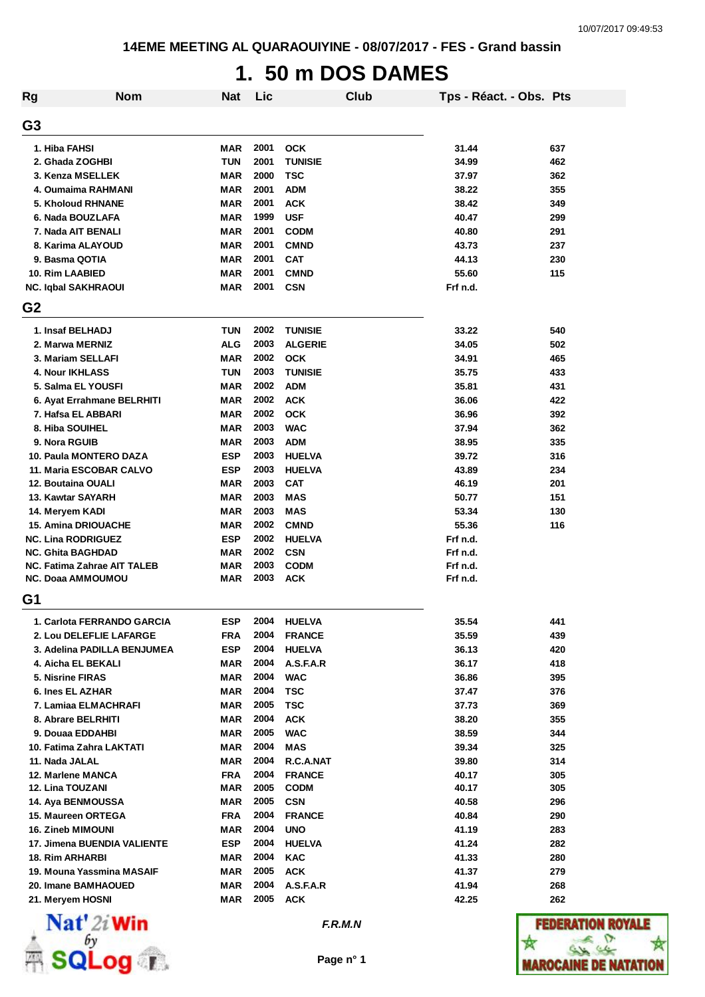# **1. 50 m DOS DAMES**

| Rg                          | <b>Nom</b> | <b>Nat</b> | Lic  |                | Club | Tps - Réact. - Obs. Pts |     |
|-----------------------------|------------|------------|------|----------------|------|-------------------------|-----|
| G3                          |            |            |      |                |      |                         |     |
| 1. Hiba FAHSI               |            | <b>MAR</b> | 2001 | <b>OCK</b>     |      | 31.44                   | 637 |
| 2. Ghada ZOGHBI             |            | <b>TUN</b> | 2001 | <b>TUNISIE</b> |      | 34.99                   | 462 |
| 3. Kenza MSELLEK            |            | <b>MAR</b> | 2000 | <b>TSC</b>     |      | 37.97                   | 362 |
| 4. Oumaima RAHMANI          |            | <b>MAR</b> | 2001 | <b>ADM</b>     |      | 38.22                   | 355 |
| 5. Kholoud RHNANE           |            | MAR        | 2001 | <b>ACK</b>     |      | 38.42                   | 349 |
| 6. Nada BOUZLAFA            |            | MAR        | 1999 | <b>USF</b>     |      | 40.47                   | 299 |
| 7. Nada AIT BENALI          |            | MAR        | 2001 | <b>CODM</b>    |      | 40.80                   | 291 |
| 8. Karima ALAYOUD           |            | <b>MAR</b> | 2001 | <b>CMND</b>    |      | 43.73                   | 237 |
| 9. Basma QOTIA              |            | <b>MAR</b> | 2001 | <b>CAT</b>     |      | 44.13                   | 230 |
| 10. Rim LAABIED             |            | <b>MAR</b> | 2001 | <b>CMND</b>    |      | 55.60                   | 115 |
| <b>NC. Iqbal SAKHRAOUI</b>  |            | MAR        | 2001 | <b>CSN</b>     |      | Frf n.d.                |     |
| G <sub>2</sub>              |            |            |      |                |      |                         |     |
| 1. Insaf BELHADJ            |            | <b>TUN</b> | 2002 | <b>TUNISIE</b> |      | 33.22                   | 540 |
| 2. Marwa MERNIZ             |            | <b>ALG</b> | 2003 | <b>ALGERIE</b> |      | 34.05                   | 502 |
| 3. Mariam SELLAFI           |            | MAR        | 2002 | <b>OCK</b>     |      | 34.91                   | 465 |
| <b>4. Nour IKHLASS</b>      |            | <b>TUN</b> | 2003 | <b>TUNISIE</b> |      | 35.75                   | 433 |
| 5. Salma EL YOUSFI          |            | MAR        | 2002 | <b>ADM</b>     |      | 35.81                   | 431 |
| 6. Ayat Errahmane BELRHITI  |            | MAR        | 2002 | <b>ACK</b>     |      | 36.06                   | 422 |
| 7. Hafsa EL ABBARI          |            | <b>MAR</b> | 2002 | <b>OCK</b>     |      | 36.96                   | 392 |
| 8. Hiba SOUIHEL             |            | MAR        | 2003 | <b>WAC</b>     |      | 37.94                   | 362 |
| 9. Nora RGUIB               |            | MAR        | 2003 | <b>ADM</b>     |      | 38.95                   | 335 |
| 10. Paula MONTERO DAZA      |            | <b>ESP</b> | 2003 | <b>HUELVA</b>  |      | 39.72                   | 316 |
| 11. Maria ESCOBAR CALVO     |            | <b>ESP</b> | 2003 | <b>HUELVA</b>  |      | 43.89                   | 234 |
| 12. Boutaina OUALI          |            | MAR        | 2003 | <b>CAT</b>     |      | 46.19                   | 201 |
| 13. Kawtar SAYARH           |            | MAR        | 2003 | <b>MAS</b>     |      | 50.77                   | 151 |
| 14. Meryem KADI             |            | <b>MAR</b> | 2003 | <b>MAS</b>     |      | 53.34                   | 130 |
| <b>15. Amina DRIOUACHE</b>  |            | <b>MAR</b> | 2002 | <b>CMND</b>    |      | 55.36                   | 116 |
| <b>NC. Lina RODRIGUEZ</b>   |            | <b>ESP</b> | 2002 | <b>HUELVA</b>  |      | Frf n.d.                |     |
| <b>NC. Ghita BAGHDAD</b>    |            | MAR        | 2002 | <b>CSN</b>     |      | Frf n.d.                |     |
| NC. Fatima Zahrae AIT TALEB |            | MAR        | 2003 | <b>CODM</b>    |      | Frf n.d.                |     |
| <b>NC. Doaa AMMOUMOU</b>    |            | MAR        | 2003 | <b>ACK</b>     |      | Frf n.d.                |     |
| G1                          |            |            |      |                |      |                         |     |
| 1. Carlota FERRANDO GARCIA  |            | <b>ESP</b> | 2004 | <b>HUELVA</b>  |      | 35.54                   | 441 |
| 2. Lou DELEFLIE LAFARGE     |            | FRA        | 2004 | <b>FRANCE</b>  |      | 35.59                   | 439 |
| 3. Adelina PADILLA BENJUMEA |            | <b>ESP</b> | 2004 | <b>HUELVA</b>  |      | 36.13                   | 420 |
| 4. Aicha EL BEKALI          |            | MAR        | 2004 | A.S.F.A.R      |      | 36.17                   | 418 |
| 5. Nisrine FIRAS            |            | MAR        | 2004 | <b>WAC</b>     |      | 36.86                   | 395 |
| 6. Ines EL AZHAR            |            | MAR        | 2004 | <b>TSC</b>     |      | 37.47                   | 376 |
| 7. Lamiaa ELMACHRAFI        |            | MAR        | 2005 | <b>TSC</b>     |      | 37.73                   | 369 |
| 8. Abrare BELRHITI          |            | MAR        | 2004 | <b>ACK</b>     |      | 38.20                   | 355 |
| 9. Douaa EDDAHBI            |            | <b>MAR</b> | 2005 | <b>WAC</b>     |      | 38.59                   | 344 |
| 10. Fatima Zahra LAKTATI    |            | MAR        | 2004 | MAS            |      | 39.34                   | 325 |
| 11. Nada JALAL              |            | MAR        | 2004 | R.C.A.NAT      |      | 39.80                   | 314 |
| 12. Marlene MANCA           |            | <b>FRA</b> | 2004 | <b>FRANCE</b>  |      | 40.17                   | 305 |
| 12. Lina TOUZANI            |            | MAR        | 2005 | <b>CODM</b>    |      | 40.17                   | 305 |
| 14. Aya BENMOUSSA           |            | MAR        | 2005 | <b>CSN</b>     |      | 40.58                   | 296 |
| 15. Maureen ORTEGA          |            | <b>FRA</b> | 2004 | <b>FRANCE</b>  |      | 40.84                   | 290 |
| <b>16. Zineb MIMOUNI</b>    |            | MAR        | 2004 | <b>UNO</b>     |      | 41.19                   | 283 |
| 17. Jimena BUENDIA VALIENTE |            | <b>ESP</b> | 2004 | <b>HUELVA</b>  |      | 41.24                   | 282 |
| <b>18. Rim ARHARBI</b>      |            | MAR        | 2004 | <b>KAC</b>     |      | 41.33                   | 280 |
| 19. Mouna Yassmina MASAIF   |            | MAR        | 2005 | <b>ACK</b>     |      | 41.37                   | 279 |
| 20. Imane BAMHAOUED         |            | MAR        | 2004 | A.S.F.A.R      |      | 41.94                   | 268 |
| 21. Meryem HOSNI            |            | MAR        | 2005 | <b>ACK</b>     |      | 42.25                   | 262 |



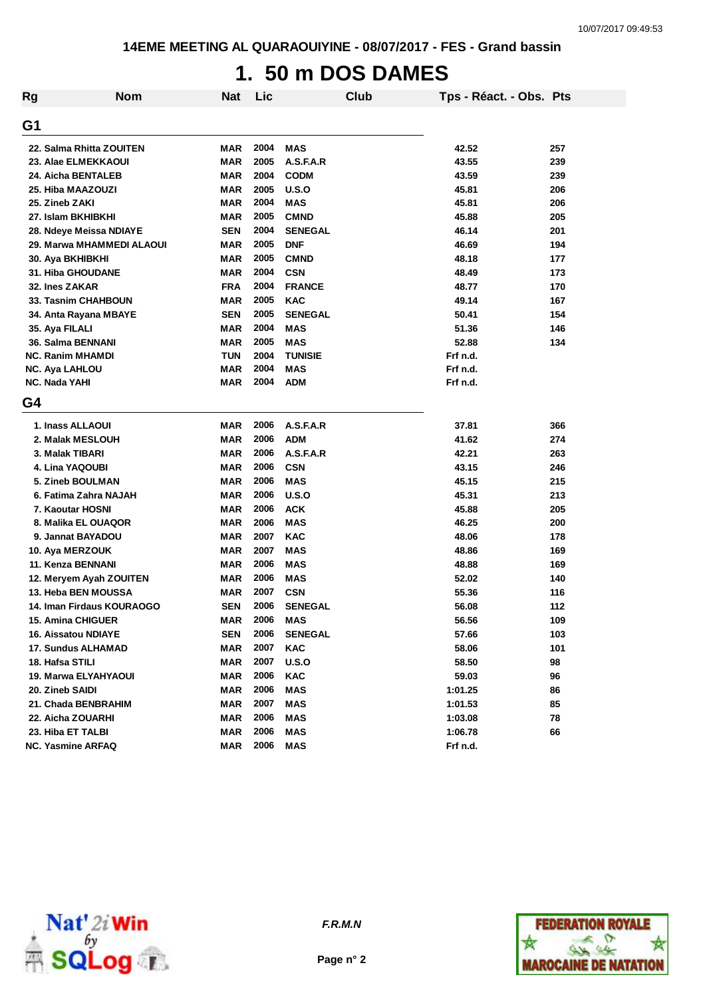# **1. 50 m DOS DAMES**

| Rg | <b>Nom</b>                | <b>Nat</b> | Lic  |                | <b>Club</b> | Tps - Réact. - Obs. Pts |     |
|----|---------------------------|------------|------|----------------|-------------|-------------------------|-----|
| G1 |                           |            |      |                |             |                         |     |
|    | 22. Salma Rhitta ZOUITEN  | <b>MAR</b> | 2004 | MAS            |             | 42.52                   | 257 |
|    | 23. Alae ELMEKKAOUI       | <b>MAR</b> | 2005 | A.S.F.A.R      |             | 43.55                   | 239 |
|    | 24. Aicha BENTALEB        | <b>MAR</b> | 2004 | <b>CODM</b>    |             | 43.59                   | 239 |
|    | 25. Hiba MAAZOUZI         | <b>MAR</b> | 2005 | U.S.O          |             | 45.81                   | 206 |
|    | 25. Zineb ZAKI            | <b>MAR</b> | 2004 | <b>MAS</b>     |             | 45.81                   | 206 |
|    | 27. Islam BKHIBKHI        | <b>MAR</b> | 2005 | <b>CMND</b>    |             | 45.88                   | 205 |
|    | 28. Ndeye Meissa NDIAYE   | <b>SEN</b> | 2004 | <b>SENEGAL</b> |             | 46.14                   | 201 |
|    | 29. Marwa MHAMMEDI ALAOUI | MAR        | 2005 | <b>DNF</b>     |             | 46.69                   | 194 |
|    | 30. Aya BKHIBKHI          | <b>MAR</b> | 2005 | <b>CMND</b>    |             | 48.18                   | 177 |
|    | <b>31. Hiba GHOUDANE</b>  | <b>MAR</b> | 2004 | <b>CSN</b>     |             | 48.49                   | 173 |
|    | 32. Ines ZAKAR            | <b>FRA</b> | 2004 | <b>FRANCE</b>  |             | 48.77                   | 170 |
|    | 33. Tasnim CHAHBOUN       | <b>MAR</b> | 2005 | <b>KAC</b>     |             | 49.14                   | 167 |
|    | 34. Anta Rayana MBAYE     | <b>SEN</b> | 2005 | <b>SENEGAL</b> |             | 50.41                   | 154 |
|    | 35. Aya FILALI            | MAR        | 2004 | MAS            |             | 51.36                   | 146 |
|    | 36. Salma BENNANI         | <b>MAR</b> | 2005 | <b>MAS</b>     |             | 52.88                   | 134 |
|    | <b>NC. Ranim MHAMDI</b>   | <b>TUN</b> | 2004 | <b>TUNISIE</b> |             | Frf n.d.                |     |
|    | <b>NC. Aya LAHLOU</b>     | <b>MAR</b> | 2004 | <b>MAS</b>     |             | Frf n.d.                |     |
|    | NC. Nada YAHI             | <b>MAR</b> | 2004 | <b>ADM</b>     |             | Frf n.d.                |     |
| G4 |                           |            |      |                |             |                         |     |
|    | 1. Inass ALLAOUI          | <b>MAR</b> | 2006 | A.S.F.A.R      |             | 37.81                   | 366 |
|    | 2. Malak MESLOUH          | <b>MAR</b> | 2006 | <b>ADM</b>     |             | 41.62                   | 274 |
|    | 3. Malak TIBARI           | <b>MAR</b> | 2006 | A.S.F.A.R      |             | 42.21                   | 263 |
|    | 4. Lina YAQOUBI           | <b>MAR</b> | 2006 | <b>CSN</b>     |             | 43.15                   | 246 |
|    | 5. Zineb BOULMAN          | <b>MAR</b> | 2006 | <b>MAS</b>     |             | 45.15                   | 215 |
|    | 6. Fatima Zahra NAJAH     | <b>MAR</b> | 2006 | U.S.O          |             | 45.31                   | 213 |
|    | 7. Kaoutar HOSNI          | <b>MAR</b> | 2006 | <b>ACK</b>     |             | 45.88                   | 205 |
|    | 8. Malika EL OUAQOR       | <b>MAR</b> | 2006 | <b>MAS</b>     |             | 46.25                   | 200 |
|    | 9. Jannat BAYADOU         | <b>MAR</b> | 2007 | <b>KAC</b>     |             | 48.06                   | 178 |
|    | 10. Aya MERZOUK           | <b>MAR</b> | 2007 | <b>MAS</b>     |             | 48.86                   | 169 |
|    | 11. Kenza BENNANI         | MAR        | 2006 | <b>MAS</b>     |             | 48.88                   | 169 |
|    | 12. Meryem Ayah ZOUITEN   | MAR        | 2006 | <b>MAS</b>     |             | 52.02                   | 140 |
|    | 13. Heba BEN MOUSSA       | MAR        | 2007 | <b>CSN</b>     |             | 55.36                   | 116 |
|    | 14. Iman Firdaus KOURAOGO | <b>SEN</b> | 2006 | <b>SENEGAL</b> |             | 56.08                   | 112 |
|    | 15. Amina CHIGUER         | <b>MAR</b> | 2006 | <b>MAS</b>     |             | 56.56                   | 109 |
|    | 16. Aissatou NDIAYE       | SEN        | 2006 | <b>SENEGAL</b> |             | 57.66                   | 103 |
|    | <b>17. Sundus ALHAMAD</b> | MAR        | 2007 | <b>KAC</b>     |             | 58.06                   | 101 |
|    | 18. Hafsa STILI           | <b>MAR</b> | 2007 | U.S.O          |             | 58.50                   | 98  |
|    | 19. Marwa ELYAHYAOUI      | MAR        | 2006 | <b>KAC</b>     |             | 59.03                   | 96  |
|    | 20. Zineb SAIDI           | <b>MAR</b> | 2006 | <b>MAS</b>     |             | 1:01.25                 | 86  |
|    | 21. Chada BENBRAHIM       | <b>MAR</b> | 2007 | <b>MAS</b>     |             | 1:01.53                 | 85  |
|    | 22. Aicha ZOUARHI         | <b>MAR</b> | 2006 | <b>MAS</b>     |             | 1:03.08                 | 78  |
|    | 23. Hiba ET TALBI         | <b>MAR</b> | 2006 | <b>MAS</b>     |             | 1:06.78                 | 66  |
|    | <b>NC. Yasmine ARFAQ</b>  | <b>MAR</b> | 2006 | <b>MAS</b>     |             | Frf n.d.                |     |



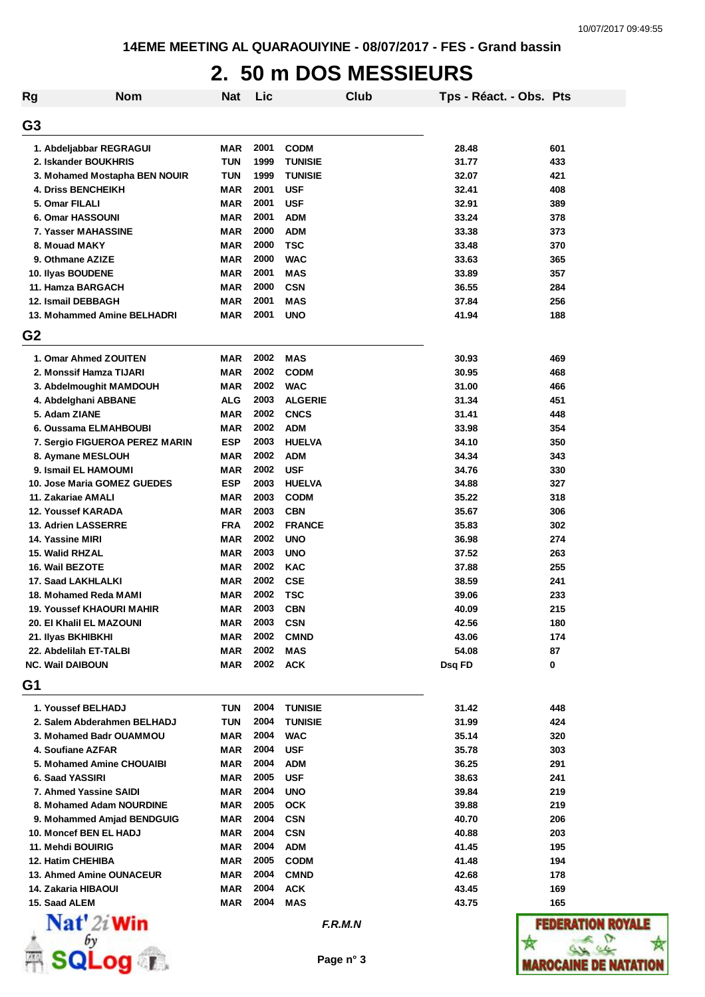### **2. 50 m DOS MESSIEURS**

| <b>Rg</b>      | <b>Nom</b>                       | <b>Nat</b> | Lic  |                | Club | Tps - Réact. - Obs. Pts |              |
|----------------|----------------------------------|------------|------|----------------|------|-------------------------|--------------|
| G <sub>3</sub> |                                  |            |      |                |      |                         |              |
|                | 1. Abdeljabbar REGRAGUI          | MAR        | 2001 | <b>CODM</b>    |      | 28.48                   | 601          |
|                | 2. Iskander BOUKHRIS             | <b>TUN</b> | 1999 | <b>TUNISIE</b> |      | 31.77                   | 433          |
|                | 3. Mohamed Mostapha BEN NOUIR    | <b>TUN</b> | 1999 | <b>TUNISIE</b> |      | 32.07                   | 421          |
|                | <b>4. Driss BENCHEIKH</b>        | MAR        | 2001 | <b>USF</b>     |      | 32.41                   | 408          |
|                | 5. Omar FILALI                   | <b>MAR</b> | 2001 | <b>USF</b>     |      | 32.91                   | 389          |
|                | 6. Omar HASSOUNI                 | <b>MAR</b> | 2001 | <b>ADM</b>     |      | 33.24                   | 378          |
|                | 7. Yasser MAHASSINE              | <b>MAR</b> | 2000 | <b>ADM</b>     |      | 33.38                   | 373          |
|                | 8. Mouad MAKY                    | <b>MAR</b> | 2000 | <b>TSC</b>     |      | 33.48                   | 370          |
|                | 9. Othmane AZIZE                 | <b>MAR</b> | 2000 | <b>WAC</b>     |      | 33.63                   | 365          |
|                | 10. Ilyas BOUDENE                | <b>MAR</b> | 2001 | <b>MAS</b>     |      | 33.89                   | 357          |
|                | 11. Hamza BARGACH                | <b>MAR</b> | 2000 | <b>CSN</b>     |      | 36.55                   | 284          |
|                | 12. Ismail DEBBAGH               | <b>MAR</b> | 2001 | <b>MAS</b>     |      | 37.84                   | 256          |
|                | 13. Mohammed Amine BELHADRI      | <b>MAR</b> | 2001 | <b>UNO</b>     |      | 41.94                   | 188          |
| G <sub>2</sub> |                                  |            |      |                |      |                         |              |
|                | 1. Omar Ahmed ZOUITEN            | MAR        | 2002 | <b>MAS</b>     |      | 30.93                   | 469          |
|                | 2. Monssif Hamza TIJARI          | <b>MAR</b> | 2002 | <b>CODM</b>    |      | 30.95                   | 468          |
|                | 3. Abdelmoughit MAMDOUH          | MAR        | 2002 | <b>WAC</b>     |      | 31.00                   | 466          |
|                | 4. Abdelghani ABBANE             | <b>ALG</b> | 2003 | <b>ALGERIE</b> |      | 31.34                   | 451          |
|                | 5. Adam ZIANE                    | <b>MAR</b> | 2002 | <b>CNCS</b>    |      | 31.41                   | 448          |
|                | 6. Oussama ELMAHBOUBI            | MAR        | 2002 | <b>ADM</b>     |      | 33.98                   | 354          |
|                | 7. Sergio FIGUEROA PEREZ MARIN   | <b>ESP</b> | 2003 | <b>HUELVA</b>  |      | 34.10                   | 350          |
|                | 8. Aymane MESLOUH                | <b>MAR</b> | 2002 | <b>ADM</b>     |      | 34.34                   | 343          |
|                | 9. Ismail EL HAMOUMI             | <b>MAR</b> | 2002 | <b>USF</b>     |      | 34.76                   | 330          |
|                | 10. Jose Maria GOMEZ GUEDES      | <b>ESP</b> | 2003 | <b>HUELVA</b>  |      | 34.88                   | 327          |
|                | 11. Zakariae AMALI               | <b>MAR</b> | 2003 | <b>CODM</b>    |      | 35.22                   | 318          |
|                | <b>12. Youssef KARADA</b>        | <b>MAR</b> | 2003 | <b>CBN</b>     |      | 35.67                   | 306          |
|                | 13. Adrien LASSERRE              | <b>FRA</b> | 2002 | <b>FRANCE</b>  |      | 35.83                   | 302          |
|                | 14. Yassine MIRI                 | MAR        | 2002 | <b>UNO</b>     |      | 36.98                   | 274          |
|                | 15. Walid RHZAL                  | MAR        | 2003 | <b>UNO</b>     |      | 37.52                   | 263          |
|                | 16. Wail BEZOTE                  | <b>MAR</b> | 2002 | <b>KAC</b>     |      | 37.88                   | 255          |
|                | 17. Saad LAKHLALKI               | MAR        | 2002 | <b>CSE</b>     |      | 38.59                   | 241          |
|                | 18. Mohamed Reda MAMI            | MAR        | 2002 | <b>TSC</b>     |      | 39.06                   | 233          |
|                | <b>19. Youssef KHAOURI MAHIR</b> | <b>MAR</b> | 2003 | <b>CBN</b>     |      | 40.09                   | 215          |
|                | 20. El Khalil EL MAZOUNI         | MAR        | 2003 | <b>CSN</b>     |      | 42.56                   | 180          |
|                | 21. Ilyas BKHIBKHI               | <b>MAR</b> | 2002 | <b>CMND</b>    |      | 43.06                   | 174          |
|                | 22. Abdelilah ET-TALBI           | <b>MAR</b> | 2002 | <b>MAS</b>     |      | 54.08                   | 87           |
|                | NC. Wail DAIBOUN                 | <b>MAR</b> | 2002 | <b>ACK</b>     |      | Dsq FD                  | 0            |
| G1             |                                  |            |      |                |      |                         |              |
|                | 1. Youssef BELHADJ               | <b>TUN</b> | 2004 | <b>TUNISIE</b> |      | 31.42                   | 448          |
|                | 2. Salem Abderahmen BELHADJ      | <b>TUN</b> | 2004 | <b>TUNISIE</b> |      | 31.99                   | 424          |
|                | 3. Mohamed Badr OUAMMOU          | MAR        | 2004 | <b>WAC</b>     |      | 35.14                   | 320          |
|                | 4. Soufiane AZFAR                | <b>MAR</b> | 2004 | <b>USF</b>     |      | 35.78                   | 303          |
|                | 5. Mohamed Amine CHOUAIBI        | <b>MAR</b> | 2004 | ADM            |      | 36.25                   | 291          |
|                | 6. Saad YASSIRI                  | MAR        | 2005 | <b>USF</b>     |      | 38.63                   | 241          |
|                | 7. Ahmed Yassine SAIDI           | <b>MAR</b> | 2004 | <b>UNO</b>     |      | 39.84                   | 219          |
|                | 8. Mohamed Adam NOURDINE         | MAR        | 2005 | <b>OCK</b>     |      | 39.88                   | 219          |
|                | 9. Mohammed Amjad BENDGUIG       | <b>MAR</b> | 2004 | <b>CSN</b>     |      | 40.70                   | 206          |
|                | 10. Moncef BEN EL HADJ           | MAR        | 2004 | <b>CSN</b>     |      | 40.88                   | 203          |
|                | 11. Mehdi BOUIRIG                | MAR        | 2004 | ADM            |      | 41.45                   | 195          |
|                | 12. Hatim CHEHIBA                | <b>MAR</b> | 2005 | <b>CODM</b>    |      | 41.48                   | 194          |
|                | 13. Ahmed Amine OUNACEUR         | <b>MAR</b> | 2004 | <b>CMND</b>    |      | 42.68                   | 178          |
|                | 14. Zakaria HIBAOUI              | <b>MAR</b> | 2004 | <b>ACK</b>     |      | 43.45                   | 169          |
|                | 15. Saad ALEM                    | MAR        | 2004 | <b>MAS</b>     |      | 43.75                   | 165          |
|                | $\mathbf{Nat}'$ 2i Win           |            |      | F.R.M.N        |      |                         | FEDE         |
|                |                                  |            |      | Page n° 3      |      |                         | Marocaine de |

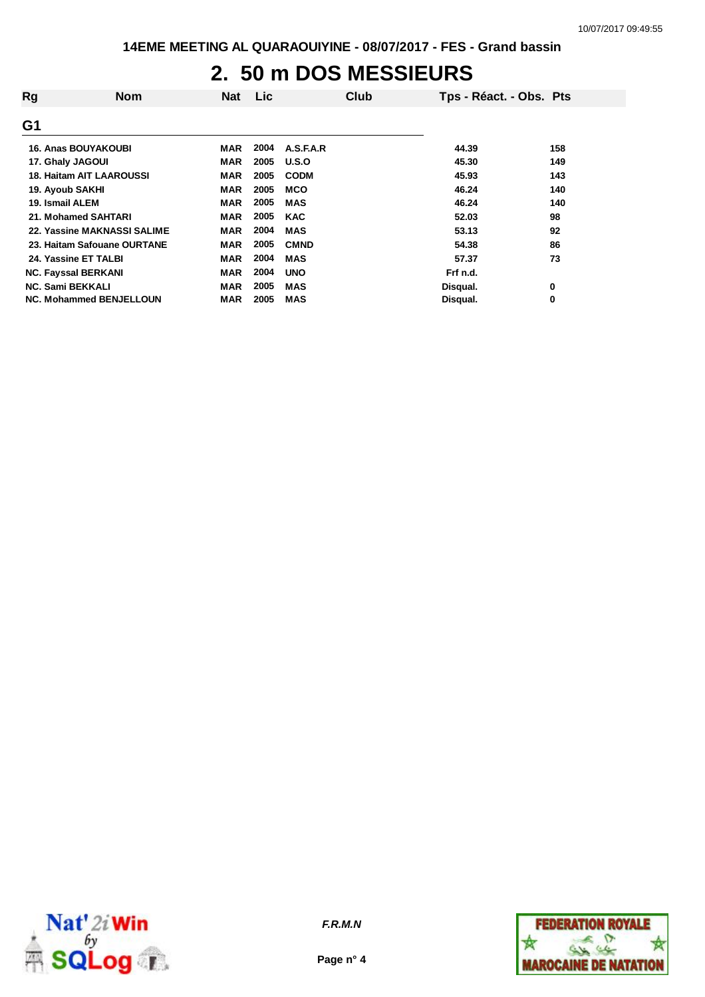### **2. 50 m DOS MESSIEURS**

| Rg                              | <b>Nom</b> | Nat        | <b>Lic</b> |              | Club | Tps - Réact. - Obs. Pts |     |
|---------------------------------|------------|------------|------------|--------------|------|-------------------------|-----|
| G1                              |            |            |            |              |      |                         |     |
| <b>16. Anas BOUYAKOUBI</b>      |            | MAR        | 2004       | A.S.F.A.R    |      | 44.39                   | 158 |
| 17. Ghaly JAGOUI                |            | <b>MAR</b> | 2005       | <b>U.S.O</b> |      | 45.30                   | 149 |
| <b>18. Haitam AIT LAAROUSSI</b> |            | <b>MAR</b> | 2005       | <b>CODM</b>  |      | 45.93                   | 143 |
| 19. Ayoub SAKHI                 |            | <b>MAR</b> | 2005       | <b>MCO</b>   |      | 46.24                   | 140 |
| 19. Ismail ALEM                 |            | MAR        | 2005       | <b>MAS</b>   |      | 46.24                   | 140 |
| 21. Mohamed SAHTARI             |            | <b>MAR</b> | 2005       | <b>KAC</b>   |      | 52.03                   | 98  |
| 22. Yassine MAKNASSI SALIME     |            | <b>MAR</b> | 2004       | <b>MAS</b>   |      | 53.13                   | 92  |
| 23. Haitam Safouane OURTANE     |            | <b>MAR</b> | 2005       | <b>CMND</b>  |      | 54.38                   | 86  |
| 24. Yassine ET TALBI            |            | <b>MAR</b> | 2004       | <b>MAS</b>   |      | 57.37                   | 73  |
| <b>NC. Fayssal BERKANI</b>      |            | <b>MAR</b> | 2004       | <b>UNO</b>   |      | Frf n.d.                |     |
| <b>NC. Sami BEKKALI</b>         |            | <b>MAR</b> | 2005       | <b>MAS</b>   |      | Disqual.                | 0   |
| <b>NC. Mohammed BENJELLOUN</b>  |            | MAR        | 2005       | <b>MAS</b>   |      | Disqual.                | 0   |



**Page n° 4**

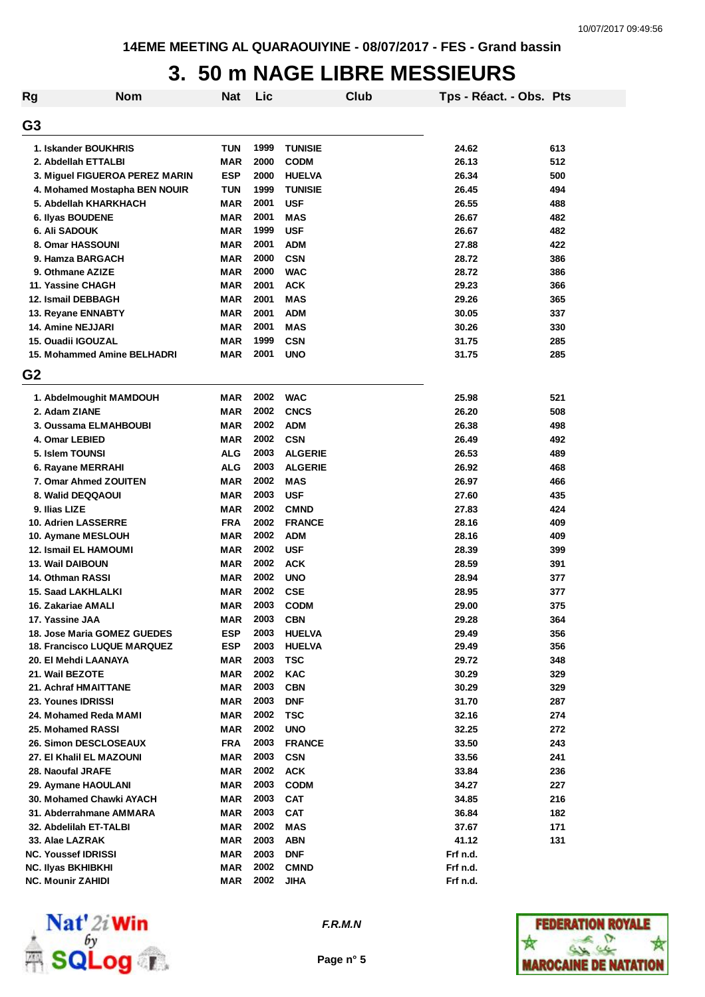### **3. 50 m NAGE LIBRE MESSIEURS**

| Rg             | <b>Nom</b>                         | <b>Nat</b> | Lic  |                | Club | Tps - Réact. - Obs. Pts |     |
|----------------|------------------------------------|------------|------|----------------|------|-------------------------|-----|
| G3             |                                    |            |      |                |      |                         |     |
|                | 1. Iskander BOUKHRIS               | <b>TUN</b> | 1999 | <b>TUNISIE</b> |      | 24.62                   | 613 |
|                | 2. Abdellah ETTALBI                | <b>MAR</b> | 2000 | <b>CODM</b>    |      | 26.13                   | 512 |
|                | 3. Miguel FIGUEROA PEREZ MARIN     | <b>ESP</b> | 2000 | <b>HUELVA</b>  |      | 26.34                   | 500 |
|                | 4. Mohamed Mostapha BEN NOUIR      | <b>TUN</b> | 1999 | <b>TUNISIE</b> |      | 26.45                   | 494 |
|                | 5. Abdellah KHARKHACH              | <b>MAR</b> | 2001 | <b>USF</b>     |      | 26.55                   | 488 |
|                | 6. Ilyas BOUDENE                   | <b>MAR</b> | 2001 | <b>MAS</b>     |      | 26.67                   | 482 |
|                | 6. Ali SADOUK                      | MAR        | 1999 | <b>USF</b>     |      | 26.67                   | 482 |
|                | 8. Omar HASSOUNI                   | MAR        | 2001 | <b>ADM</b>     |      | 27.88                   | 422 |
|                | 9. Hamza BARGACH                   | MAR        | 2000 | <b>CSN</b>     |      | 28.72                   | 386 |
|                | 9. Othmane AZIZE                   | MAR        | 2000 | <b>WAC</b>     |      | 28.72                   | 386 |
|                | 11. Yassine CHAGH                  | MAR        | 2001 | <b>ACK</b>     |      | 29.23                   | 366 |
|                | 12. Ismail DEBBAGH                 | MAR        | 2001 | <b>MAS</b>     |      | 29.26                   | 365 |
|                | 13. Reyane ENNABTY                 | MAR        | 2001 | <b>ADM</b>     |      | 30.05                   | 337 |
|                | 14. Amine NEJJARI                  | MAR        | 2001 | <b>MAS</b>     |      | 30.26                   | 330 |
|                | 15. Ouadii IGOUZAL                 | MAR        | 1999 | <b>CSN</b>     |      | 31.75                   | 285 |
|                | 15. Mohammed Amine BELHADRI        | <b>MAR</b> | 2001 | <b>UNO</b>     |      | 31.75                   | 285 |
| G <sub>2</sub> |                                    |            |      |                |      |                         |     |
|                | 1. Abdelmoughit MAMDOUH            | MAR        | 2002 | <b>WAC</b>     |      | 25.98                   | 521 |
|                | 2. Adam ZIANE                      | MAR        | 2002 | <b>CNCS</b>    |      | 26.20                   | 508 |
|                | 3. Oussama ELMAHBOUBI              | <b>MAR</b> | 2002 | <b>ADM</b>     |      | 26.38                   | 498 |
|                | 4. Omar LEBIED                     | <b>MAR</b> | 2002 | <b>CSN</b>     |      | 26.49                   | 492 |
|                | 5. Islem TOUNSI                    | <b>ALG</b> | 2003 | <b>ALGERIE</b> |      | 26.53                   | 489 |
|                | 6. Rayane MERRAHI                  | <b>ALG</b> | 2003 | <b>ALGERIE</b> |      | 26.92                   | 468 |
|                | 7. Omar Ahmed ZOUITEN              | <b>MAR</b> | 2002 | <b>MAS</b>     |      | 26.97                   | 466 |
|                | 8. Walid DEQQAOUI                  | MAR        | 2003 | <b>USF</b>     |      | 27.60                   | 435 |
|                | 9. Ilias LIZE                      | MAR        | 2002 | <b>CMND</b>    |      | 27.83                   | 424 |
|                | 10. Adrien LASSERRE                | <b>FRA</b> | 2002 | <b>FRANCE</b>  |      | 28.16                   | 409 |
|                | 10. Aymane MESLOUH                 | MAR        | 2002 | <b>ADM</b>     |      | 28.16                   | 409 |
|                | 12. Ismail EL HAMOUMI              | MAR        | 2002 | <b>USF</b>     |      | 28.39                   | 399 |
|                | 13. Wail DAIBOUN                   | MAR        | 2002 | <b>ACK</b>     |      | 28.59                   | 391 |
|                | 14. Othman RASSI                   | <b>MAR</b> | 2002 | <b>UNO</b>     |      | 28.94                   | 377 |
|                | <b>15. Saad LAKHLALKI</b>          | <b>MAR</b> | 2002 | <b>CSE</b>     |      | 28.95                   | 377 |
|                | 16. Zakariae AMALI                 | MAR        | 2003 | <b>CODM</b>    |      | 29.00                   | 375 |
|                | 17. Yassine JAA                    | <b>MAR</b> | 2003 | <b>CBN</b>     |      | 29.28                   | 364 |
|                | <b>18. Jose Maria GOMEZ GUEDES</b> | <b>ESP</b> | 2003 | <b>HUELVA</b>  |      | 29.49                   | 356 |
|                | <b>18. Francisco LUQUE MARQUEZ</b> | <b>ESP</b> | 2003 | <b>HUELVA</b>  |      | 29.49                   | 356 |
|                | 20. El Mehdi LAANAYA               | MAR        | 2003 | TSC            |      | 29.72                   | 348 |
|                | 21. Wail BEZOTE                    | MAR        | 2002 | <b>KAC</b>     |      | 30.29                   | 329 |
|                | 21. Achraf HMAITTANE               | <b>MAR</b> | 2003 | <b>CBN</b>     |      | 30.29                   | 329 |
|                | 23. Younes IDRISSI                 | MAR        | 2003 | <b>DNF</b>     |      | 31.70                   | 287 |
|                | 24. Mohamed Reda MAMI              | MAR        | 2002 | <b>TSC</b>     |      | 32.16                   | 274 |
|                | 25. Mohamed RASSI                  | <b>MAR</b> | 2002 | <b>UNO</b>     |      | 32.25                   | 272 |
|                | <b>26. Simon DESCLOSEAUX</b>       | <b>FRA</b> | 2003 | <b>FRANCE</b>  |      | 33.50                   | 243 |
|                | 27. El Khalil EL MAZOUNI           | MAR        | 2003 | <b>CSN</b>     |      | 33.56                   | 241 |
|                | 28. Naoufal JRAFE                  | <b>MAR</b> | 2002 | <b>ACK</b>     |      | 33.84                   | 236 |
|                | 29. Aymane HAOULANI                | MAR        | 2003 | <b>CODM</b>    |      | 34.27                   | 227 |
|                | 30. Mohamed Chawki AYACH           | MAR        | 2003 | <b>CAT</b>     |      | 34.85                   | 216 |
|                | 31. Abderrahmane AMMARA            | MAR        | 2003 | <b>CAT</b>     |      | 36.84                   | 182 |
|                | 32. Abdelilah ET-TALBI             | <b>MAR</b> | 2002 | <b>MAS</b>     |      | 37.67                   | 171 |
|                | 33. Alae LAZRAK                    | <b>MAR</b> | 2003 | <b>ABN</b>     |      | 41.12                   | 131 |
|                | <b>NC. Youssef IDRISSI</b>         | <b>MAR</b> | 2003 | <b>DNF</b>     |      | Frf n.d.                |     |
|                | <b>NC. Ilyas BKHIBKHI</b>          | MAR        | 2002 | <b>CMND</b>    |      | Frf n.d.                |     |
|                | <b>NC. Mounir ZAHIDI</b>           | MAR        | 2002 | <b>JIHA</b>    |      | Frf n.d.                |     |



*F.R.M.N*

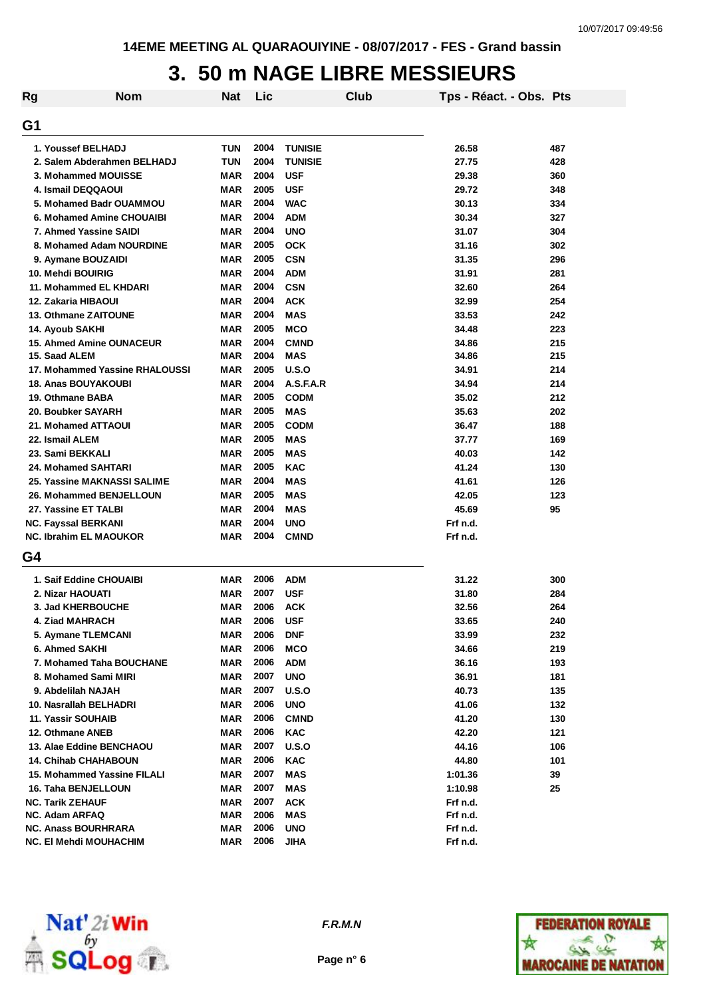### **3. 50 m NAGE LIBRE MESSIEURS**

| Rg | <b>Nom</b>                                        | <b>Nat</b>               | Lic  |                                  | Club | Tps - Réact. - Obs. Pts |            |
|----|---------------------------------------------------|--------------------------|------|----------------------------------|------|-------------------------|------------|
| G1 |                                                   |                          |      |                                  |      |                         |            |
|    |                                                   |                          | 2004 |                                  |      |                         |            |
|    | 1. Youssef BELHADJ<br>2. Salem Abderahmen BELHADJ | <b>TUN</b><br><b>TUN</b> | 2004 | <b>TUNISIE</b><br><b>TUNISIE</b> |      | 26.58<br>27.75          | 487<br>428 |
|    | 3. Mohammed MOUISSE                               | <b>MAR</b>               | 2004 | <b>USF</b>                       |      | 29.38                   | 360        |
|    | 4. Ismail DEQQAOUI                                | <b>MAR</b>               | 2005 | <b>USF</b>                       |      | 29.72                   | 348        |
|    | 5. Mohamed Badr OUAMMOU                           | MAR                      | 2004 | <b>WAC</b>                       |      | 30.13                   | 334        |
|    | 6. Mohamed Amine CHOUAIBI                         | <b>MAR</b>               | 2004 | <b>ADM</b>                       |      | 30.34                   | 327        |
|    | 7. Ahmed Yassine SAIDI                            | <b>MAR</b>               | 2004 | <b>UNO</b>                       |      | 31.07                   | 304        |
|    | 8. Mohamed Adam NOURDINE                          | <b>MAR</b>               | 2005 | <b>OCK</b>                       |      | 31.16                   | 302        |
|    | 9. Aymane BOUZAIDI                                | <b>MAR</b>               | 2005 | <b>CSN</b>                       |      | 31.35                   | 296        |
|    | 10. Mehdi BOUIRIG                                 | <b>MAR</b>               | 2004 | <b>ADM</b>                       |      | 31.91                   | 281        |
|    | 11. Mohammed EL KHDARI                            | <b>MAR</b>               | 2004 | <b>CSN</b>                       |      | 32.60                   | 264        |
|    | 12. Zakaria HIBAOUI                               | <b>MAR</b>               | 2004 | <b>ACK</b>                       |      | 32.99                   | 254        |
|    | 13. Othmane ZAITOUNE                              | <b>MAR</b>               | 2004 | <b>MAS</b>                       |      | 33.53                   | 242        |
|    | 14. Ayoub SAKHI                                   | <b>MAR</b>               | 2005 | <b>MCO</b>                       |      | 34.48                   | 223        |
|    | <b>15. Ahmed Amine OUNACEUR</b>                   | <b>MAR</b>               | 2004 | <b>CMND</b>                      |      | 34.86                   | 215        |
|    | 15. Saad ALEM                                     | <b>MAR</b>               | 2004 | <b>MAS</b>                       |      | 34.86                   | 215        |
|    | 17. Mohammed Yassine RHALOUSSI                    | <b>MAR</b>               | 2005 | U.S.O                            |      | 34.91                   | 214        |
|    | <b>18. Anas BOUYAKOUBI</b>                        | <b>MAR</b>               | 2004 | A.S.F.A.R                        |      | 34.94                   | 214        |
|    | 19. Othmane BABA                                  | <b>MAR</b>               | 2005 | <b>CODM</b>                      |      | 35.02                   | 212        |
|    | 20. Boubker SAYARH                                | <b>MAR</b>               | 2005 | <b>MAS</b>                       |      | 35.63                   | 202        |
|    | 21. Mohamed ATTAOUI                               | MAR                      | 2005 | <b>CODM</b>                      |      | 36.47                   | 188        |
|    | 22. Ismail ALEM                                   | <b>MAR</b>               | 2005 | <b>MAS</b>                       |      | 37.77                   | 169        |
|    | 23. Sami BEKKALI                                  | <b>MAR</b>               | 2005 | <b>MAS</b>                       |      | 40.03                   | 142        |
|    | 24. Mohamed SAHTARI                               | <b>MAR</b>               | 2005 | <b>KAC</b>                       |      | 41.24                   | 130        |
|    | 25. Yassine MAKNASSI SALIME                       | <b>MAR</b>               | 2004 | <b>MAS</b>                       |      | 41.61                   | 126        |
|    | 26. Mohammed BENJELLOUN                           | <b>MAR</b>               | 2005 | <b>MAS</b>                       |      | 42.05                   | 123        |
|    | 27. Yassine ET TALBI                              | MAR                      | 2004 | <b>MAS</b>                       |      | 45.69                   | 95         |
|    | <b>NC. Fayssal BERKANI</b>                        | MAR                      | 2004 | <b>UNO</b>                       |      | Frf n.d.                |            |
|    | <b>NC. Ibrahim EL MAOUKOR</b>                     | MAR                      | 2004 | <b>CMND</b>                      |      | Frf n.d.                |            |
| G4 |                                                   |                          |      |                                  |      |                         |            |
|    | 1. Saif Eddine CHOUAIBI                           | MAR                      | 2006 | <b>ADM</b>                       |      | 31.22                   | 300        |
|    | 2. Nizar HAOUATI                                  | MAR                      | 2007 | <b>USF</b>                       |      | 31.80                   | 284        |
|    | <b>3. Jad KHERBOUCHE</b>                          | MAR                      | 2006 | <b>ACK</b>                       |      | 32.56                   | 264        |
|    | 4. Ziad MAHRACH                                   | MAR                      | 2006 | <b>USF</b>                       |      | 33.65                   | 240        |
|    | 5. Aymane TLEMCANI                                | MAR                      | 2006 | <b>DNF</b>                       |      | 33.99                   | 232        |
|    | 6. Ahmed SAKHI                                    | MAR                      | 2006 | <b>MCO</b>                       |      | 34.66                   | 219        |
|    | 7. Mohamed Taha BOUCHANE                          | MAR                      | 2006 | <b>ADM</b>                       |      | 36.16                   | 193        |
|    | 8. Mohamed Sami MIRI                              | MAR                      | 2007 | <b>UNO</b>                       |      | 36.91                   | 181        |
|    | 9. Abdelilah NAJAH                                | MAR                      | 2007 | U.S.O                            |      | 40.73                   | 135        |
|    | 10. Nasrallah BELHADRI                            | <b>MAR</b>               | 2006 | <b>UNO</b>                       |      | 41.06                   | 132        |
|    | 11. Yassir SOUHAIB                                | MAR                      | 2006 | <b>CMND</b>                      |      | 41.20                   | 130        |
|    | 12. Othmane ANEB                                  | MAR                      | 2006 | KAC                              |      | 42.20                   | 121        |
|    | 13. Alae Eddine BENCHAOU                          | MAR                      | 2007 | U.S.O                            |      | 44.16                   | 106        |
|    | <b>14. Chihab CHAHABOUN</b>                       | MAR                      | 2006 | <b>KAC</b>                       |      | 44.80                   | 101        |
|    | 15. Mohammed Yassine FILALI                       | MAR                      | 2007 | MAS                              |      | 1:01.36                 | 39         |
|    | 16. Taha BENJELLOUN                               | MAR                      | 2007 | MAS                              |      | 1:10.98                 | 25         |
|    | <b>NC. Tarik ZEHAUF</b>                           | MAR                      | 2007 | <b>ACK</b>                       |      | Frf n.d.                |            |
|    | <b>NC. Adam ARFAQ</b>                             | MAR                      | 2006 | MAS                              |      | Frf n.d.                |            |
|    | <b>NC. Anass BOURHRARA</b>                        | MAR                      | 2006 | <b>UNO</b>                       |      | Frf n.d.                |            |
|    | NC. El Mehdi MOUHACHIM                            | MAR                      | 2006 | <b>JIHA</b>                      |      | Frf n.d.                |            |



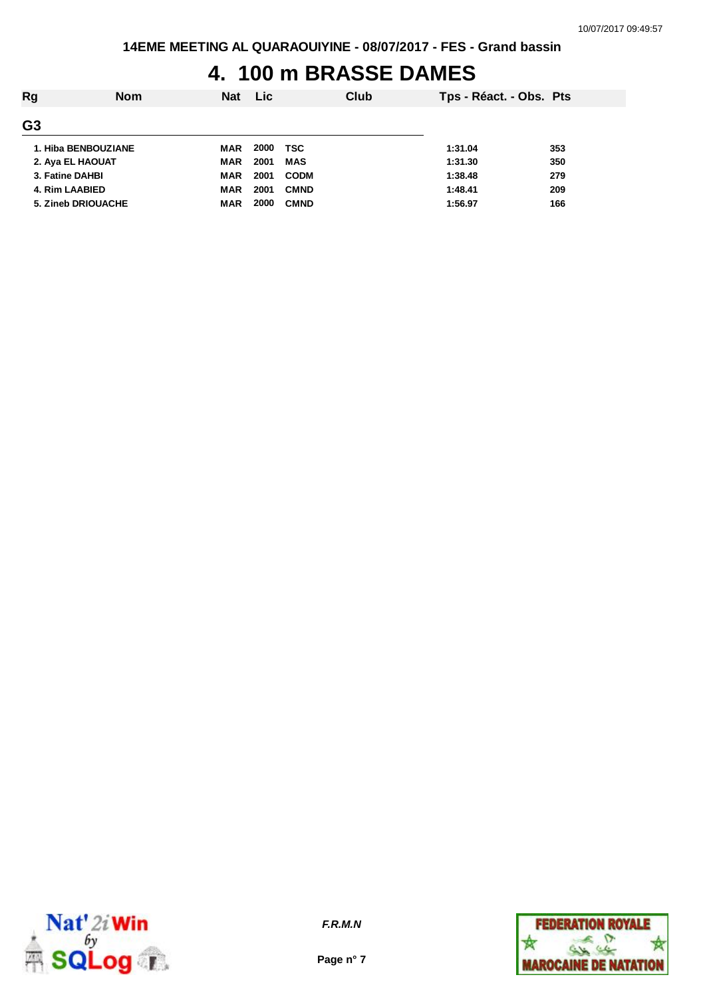## **4. 100 m BRASSE DAMES**

| Tps - Réact. - Obs. Pts         |
|---------------------------------|
|                                 |
|                                 |
|                                 |
|                                 |
|                                 |
|                                 |
| 353<br>350<br>279<br>209<br>166 |



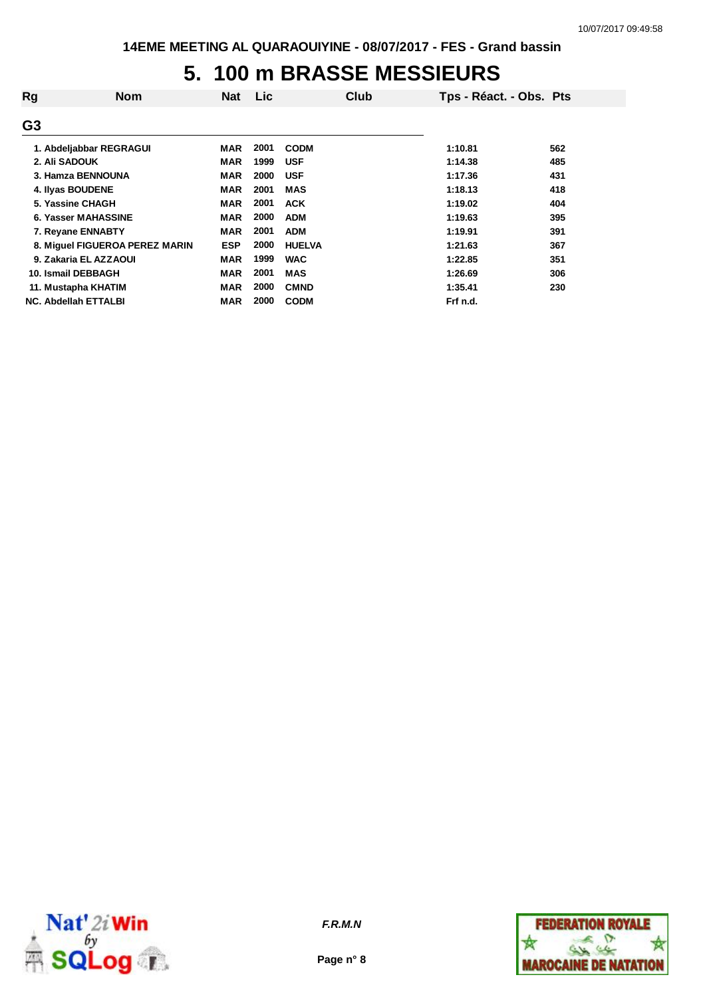## **5. 100 m BRASSE MESSIEURS**

| Rg                          | <b>Nom</b>                     | <b>Nat</b> | <b>Lic</b> |               | Club | Tps - Réact. - Obs. Pts |     |
|-----------------------------|--------------------------------|------------|------------|---------------|------|-------------------------|-----|
| G <sub>3</sub>              |                                |            |            |               |      |                         |     |
| 1. Abdeljabbar REGRAGUI     |                                | MAR        | 2001       | <b>CODM</b>   |      | 1:10.81                 | 562 |
| 2. Ali SADOUK               |                                | <b>MAR</b> | 1999       | <b>USF</b>    |      | 1:14.38                 | 485 |
| 3. Hamza BENNOUNA           |                                | <b>MAR</b> | 2000       | <b>USF</b>    |      | 1:17.36                 | 431 |
| 4. Ilyas BOUDENE            |                                | <b>MAR</b> | 2001       | <b>MAS</b>    |      | 1:18.13                 | 418 |
| 5. Yassine CHAGH            |                                | <b>MAR</b> | 2001       | <b>ACK</b>    |      | 1:19.02                 | 404 |
| 6. Yasser MAHASSINE         |                                | <b>MAR</b> | 2000       | <b>ADM</b>    |      | 1:19.63                 | 395 |
| 7. Revane ENNABTY           |                                | <b>MAR</b> | 2001       | <b>ADM</b>    |      | 1:19.91                 | 391 |
|                             | 8. Miguel FIGUEROA PEREZ MARIN | <b>ESP</b> | 2000       | <b>HUELVA</b> |      | 1:21.63                 | 367 |
| 9. Zakaria EL AZZAOUI       |                                | <b>MAR</b> | 1999       | <b>WAC</b>    |      | 1:22.85                 | 351 |
| 10. Ismail DEBBAGH          |                                | <b>MAR</b> | 2001       | <b>MAS</b>    |      | 1:26.69                 | 306 |
| 11. Mustapha KHATIM         |                                | <b>MAR</b> | 2000       | <b>CMND</b>   |      | 1:35.41                 | 230 |
| <b>NC. Abdellah ETTALBI</b> |                                | <b>MAR</b> | 2000       | <b>CODM</b>   |      | Frf n.d.                |     |



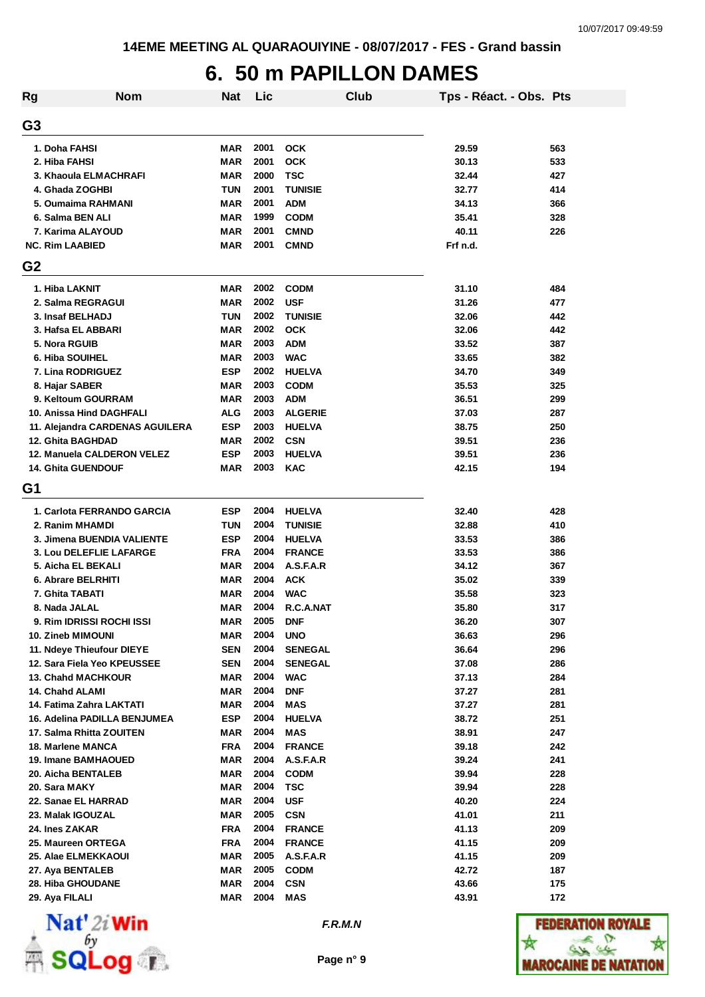#### **6. 50 m PAPILLON DAMES**

| <b>Rg</b>                            | <b>Nom</b>                      | <b>Nat</b> | Lic          |                           | Club | Tps - Réact. - Obs. Pts |            |
|--------------------------------------|---------------------------------|------------|--------------|---------------------------|------|-------------------------|------------|
| G <sub>3</sub>                       |                                 |            |              |                           |      |                         |            |
| 1. Doha FAHSI                        |                                 | <b>MAR</b> | 2001         | <b>OCK</b>                |      | 29.59                   | 563        |
| 2. Hiba FAHSI                        |                                 | <b>MAR</b> | 2001         | оск                       |      | 30.13                   | 533        |
| 3. Khaoula ELMACHRAFI                |                                 | <b>MAR</b> | 2000         | <b>TSC</b>                |      | 32.44                   | 427        |
| 4. Ghada ZOGHBI                      |                                 | <b>TUN</b> | 2001         | <b>TUNISIE</b>            |      | 32.77                   | 414        |
| 5. Oumaima RAHMANI                   |                                 | <b>MAR</b> | 2001         | <b>ADM</b>                |      | 34.13                   | 366        |
| 6. Salma BEN ALI                     |                                 | <b>MAR</b> | 1999         | <b>CODM</b>               |      | 35.41                   | 328        |
| 7. Karima ALAYOUD                    |                                 | <b>MAR</b> | 2001         | <b>CMND</b>               |      | 40.11                   | 226        |
| <b>NC. Rim LAABIED</b>               |                                 | <b>MAR</b> | 2001         | <b>CMND</b>               |      | Frf n.d.                |            |
| G <sub>2</sub>                       |                                 |            |              |                           |      |                         |            |
| 1. Hiba LAKNIT                       |                                 | MAR        | 2002         | <b>CODM</b>               |      | 31.10                   | 484        |
| 2. Salma REGRAGUI                    |                                 | <b>MAR</b> | 2002         | <b>USF</b>                |      | 31.26                   | 477        |
| 3. Insaf BELHADJ                     |                                 | <b>TUN</b> | 2002         | <b>TUNISIE</b>            |      | 32.06                   | 442        |
| 3. Hafsa EL ABBARI                   |                                 | MAR        | 2002         | <b>OCK</b>                |      | 32.06                   | 442        |
| 5. Nora RGUIB                        |                                 | <b>MAR</b> | 2003         | <b>ADM</b>                |      | 33.52                   | 387        |
| <b>6. Hiba SOUIHEL</b>               |                                 | <b>MAR</b> | 2003         | <b>WAC</b>                |      | 33.65                   | 382        |
| 7. Lina RODRIGUEZ                    |                                 | <b>ESP</b> | 2002         | <b>HUELVA</b>             |      | 34.70                   | 349        |
| 8. Hajar SABER                       |                                 | MAR        | 2003         | <b>CODM</b>               |      | 35.53                   | 325        |
| 9. Keltoum GOURRAM                   |                                 | <b>MAR</b> | 2003         | <b>ADM</b>                |      | 36.51                   | 299        |
| 10. Anissa Hind DAGHFALI             |                                 | <b>ALG</b> | 2003         | <b>ALGERIE</b>            |      | 37.03                   | 287        |
|                                      | 11. Alejandra CARDENAS AGUILERA | <b>ESP</b> | 2003         | <b>HUELVA</b>             |      | 38.75                   | 250        |
| <b>12. Ghita BAGHDAD</b>             |                                 | <b>MAR</b> | 2002         | <b>CSN</b>                |      | 39.51                   | 236        |
| 12. Manuela CALDERON VELEZ           |                                 | <b>ESP</b> | 2003         | <b>HUELVA</b>             |      | 39.51                   | 236        |
| <b>14. Ghita GUENDOUF</b>            |                                 | <b>MAR</b> | 2003         | <b>KAC</b>                |      | 42.15                   | 194        |
| G <sub>1</sub>                       |                                 |            |              |                           |      |                         |            |
|                                      |                                 |            |              |                           |      |                         |            |
| 1. Carlota FERRANDO GARCIA           |                                 | <b>ESP</b> | 2004         | <b>HUELVA</b>             |      | 32.40                   | 428        |
| 2. Ranim MHAMDI                      |                                 | <b>TUN</b> | 2004         | <b>TUNISIE</b>            |      | 32.88                   | 410        |
| 3. Jimena BUENDIA VALIENTE           |                                 | <b>ESP</b> | 2004         | <b>HUELVA</b>             |      | 33.53                   | 386        |
| 3. Lou DELEFLIE LAFARGE              |                                 | <b>FRA</b> | 2004         | <b>FRANCE</b>             |      | 33.53                   | 386        |
| 5. Aicha EL BEKALI                   |                                 | <b>MAR</b> | 2004         | A.S.F.A.R                 |      | 34.12                   | 367        |
| 6. Abrare BELRHITI                   |                                 | <b>MAR</b> | 2004         | <b>ACK</b>                |      | 35.02                   | 339        |
| 7. Ghita TABATI                      |                                 | <b>MAR</b> | 2004         | <b>WAC</b>                |      | 35.58                   | 323        |
| 8. Nada JALAL                        |                                 | MAR        | 2004         | R.C.A.NAT                 |      | 35.80                   | 317        |
| 9. Rim IDRISSI ROCHI ISSI            |                                 | <b>MAR</b> | 2005         | <b>DNF</b>                |      | 36.20                   | 307        |
| 10. Zineb MIMOUNI                    |                                 | MAR        | 2004         | <b>UNO</b>                |      | 36.63                   | 296        |
| 11. Ndeye Thieufour DIEYE            |                                 | <b>SEN</b> | 2004         | <b>SENEGAL</b>            |      | 36.64                   | 296        |
| 12. Sara Fiela Yeo KPEUSSEE          |                                 | SEN        | 2004         | <b>SENEGAL</b>            |      | 37.08                   | 286        |
| <b>13. Chahd MACHKOUR</b>            |                                 | MAR        | 2004         | <b>WAC</b>                |      | 37.13                   | 284        |
| 14. Chahd ALAMI                      |                                 | <b>MAR</b> | 2004         | <b>DNF</b>                |      | 37.27                   | 281        |
| 14. Fatima Zahra LAKTATI             |                                 | MAR        | 2004         | MAS                       |      | 37.27                   | 281        |
| 16. Adelina PADILLA BENJUMEA         |                                 | <b>ESP</b> | 2004         | <b>HUELVA</b>             |      | 38.72                   | 251        |
| 17. Salma Rhitta ZOUITEN             |                                 | MAR        | 2004         | <b>MAS</b>                |      | 38.91                   | 247        |
| 18. Marlene MANCA                    |                                 | <b>FRA</b> | 2004         | <b>FRANCE</b>             |      | 39.18                   | 242        |
| <b>19. Imane BAMHAOUED</b>           |                                 | MAR        | 2004<br>2004 | A.S.F.A.R                 |      | 39.24                   | 241        |
| 20. Aicha BENTALEB                   |                                 | MAR<br>MAR | 2004         | <b>CODM</b><br><b>TSC</b> |      | 39.94<br>39.94          | 228<br>228 |
| 20. Sara MAKY<br>22. Sanae EL HARRAD |                                 | <b>MAR</b> | 2004         | <b>USF</b>                |      | 40.20                   | 224        |
| 23. Malak IGOUZAL                    |                                 | MAR        | 2005         | <b>CSN</b>                |      | 41.01                   | 211        |
| 24. Ines ZAKAR                       |                                 | <b>FRA</b> | 2004         | <b>FRANCE</b>             |      | 41.13                   | 209        |
| 25. Maureen ORTEGA                   |                                 | <b>FRA</b> | 2004         | <b>FRANCE</b>             |      | 41.15                   | 209        |
| 25. Alae ELMEKKAOUI                  |                                 | <b>MAR</b> | 2005         | A.S.F.A.R                 |      | 41.15                   | 209        |
| 27. Aya BENTALEB                     |                                 | MAR        | 2005         | <b>CODM</b>               |      | 42.72                   | 187        |
| 28. Hiba GHOUDANE                    |                                 | MAR        | 2004         | <b>CSN</b>                |      | 43.66                   | 175        |
| 29. Aya FILALI                       |                                 | MAR        | 2004         | MAS                       |      | 43.91                   | 172        |
|                                      |                                 |            |              |                           |      |                         |            |



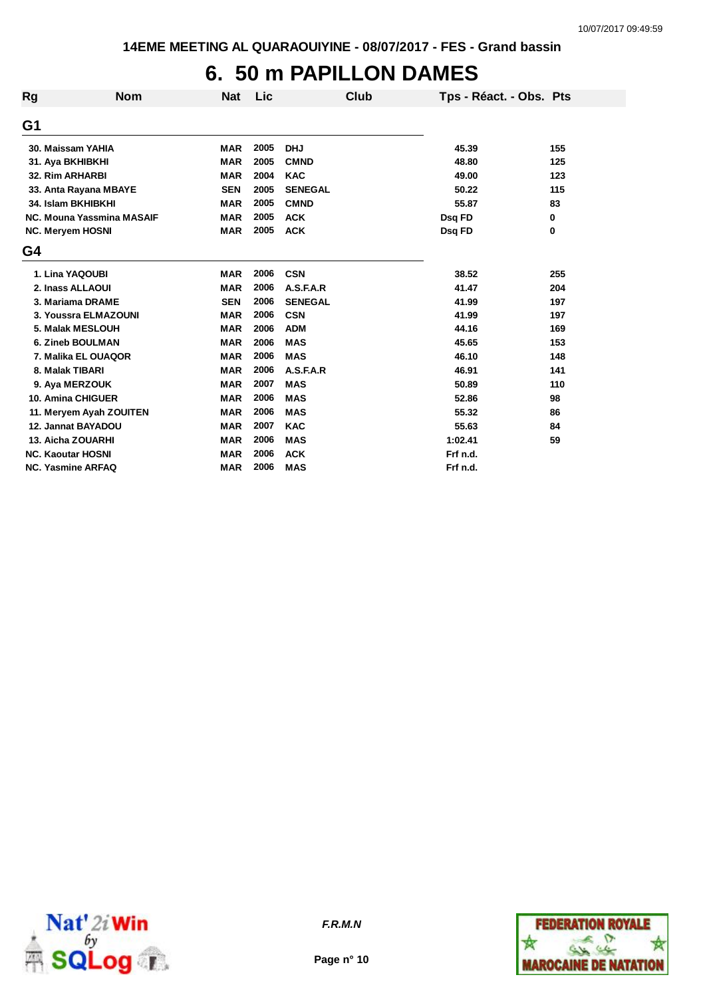# **6. 50 m PAPILLON DAMES**

| <b>Rg</b> | <b>Nom</b>                | <b>Nat</b> | Lic  | <b>Club</b>    | Tps - Réact. - Obs. Pts |     |
|-----------|---------------------------|------------|------|----------------|-------------------------|-----|
| G1        |                           |            |      |                |                         |     |
|           | 30. Maissam YAHIA         | <b>MAR</b> | 2005 | <b>DHJ</b>     | 45.39                   | 155 |
|           | 31. Aya BKHIBKHI          | <b>MAR</b> | 2005 | <b>CMND</b>    | 48.80                   | 125 |
|           | <b>32. Rim ARHARBI</b>    | <b>MAR</b> | 2004 | <b>KAC</b>     | 49.00                   | 123 |
|           | 33. Anta Rayana MBAYE     | <b>SEN</b> | 2005 | <b>SENEGAL</b> | 50.22                   | 115 |
|           | 34. Islam BKHIBKHI        | <b>MAR</b> | 2005 | <b>CMND</b>    | 55.87                   | 83  |
|           | NC. Mouna Yassmina MASAIF | <b>MAR</b> | 2005 | <b>ACK</b>     | Dsq FD                  | 0   |
|           | <b>NC. Meryem HOSNI</b>   | <b>MAR</b> | 2005 | <b>ACK</b>     | Dsq FD                  | 0   |
| G4        |                           |            |      |                |                         |     |
|           | 1. Lina YAQOUBI           | <b>MAR</b> | 2006 | <b>CSN</b>     | 38.52                   | 255 |
|           | 2. Inass ALLAOUI          | <b>MAR</b> | 2006 | A.S.F.A.R      | 41.47                   | 204 |
|           | 3. Mariama DRAME          | <b>SEN</b> | 2006 | <b>SENEGAL</b> | 41.99                   | 197 |
|           | 3. Youssra ELMAZOUNI      | <b>MAR</b> | 2006 | <b>CSN</b>     | 41.99                   | 197 |
|           | 5. Malak MESLOUH          | <b>MAR</b> | 2006 | <b>ADM</b>     | 44.16                   | 169 |
|           | 6. Zineb BOULMAN          | <b>MAR</b> | 2006 | <b>MAS</b>     | 45.65                   | 153 |
|           | 7. Malika EL OUAQOR       | <b>MAR</b> | 2006 | <b>MAS</b>     | 46.10                   | 148 |
|           | 8. Malak TIBARI           | <b>MAR</b> | 2006 | A.S.F.A.R      | 46.91                   | 141 |
|           | 9. Aya MERZOUK            | <b>MAR</b> | 2007 | <b>MAS</b>     | 50.89                   | 110 |
|           | <b>10. Amina CHIGUER</b>  | <b>MAR</b> | 2006 | <b>MAS</b>     | 52.86                   | 98  |
|           | 11. Meryem Ayah ZOUITEN   | <b>MAR</b> | 2006 | <b>MAS</b>     | 55.32                   | 86  |
|           | 12. Jannat BAYADOU        | <b>MAR</b> | 2007 | <b>KAC</b>     | 55.63                   | 84  |
|           | 13. Aicha ZOUARHI         | <b>MAR</b> | 2006 | <b>MAS</b>     | 1:02.41                 | 59  |
|           | <b>NC. Kaoutar HOSNI</b>  | <b>MAR</b> | 2006 | <b>ACK</b>     | Frf n.d.                |     |
|           | <b>NC. Yasmine ARFAQ</b>  | <b>MAR</b> | 2006 | <b>MAS</b>     | Frf n.d.                |     |





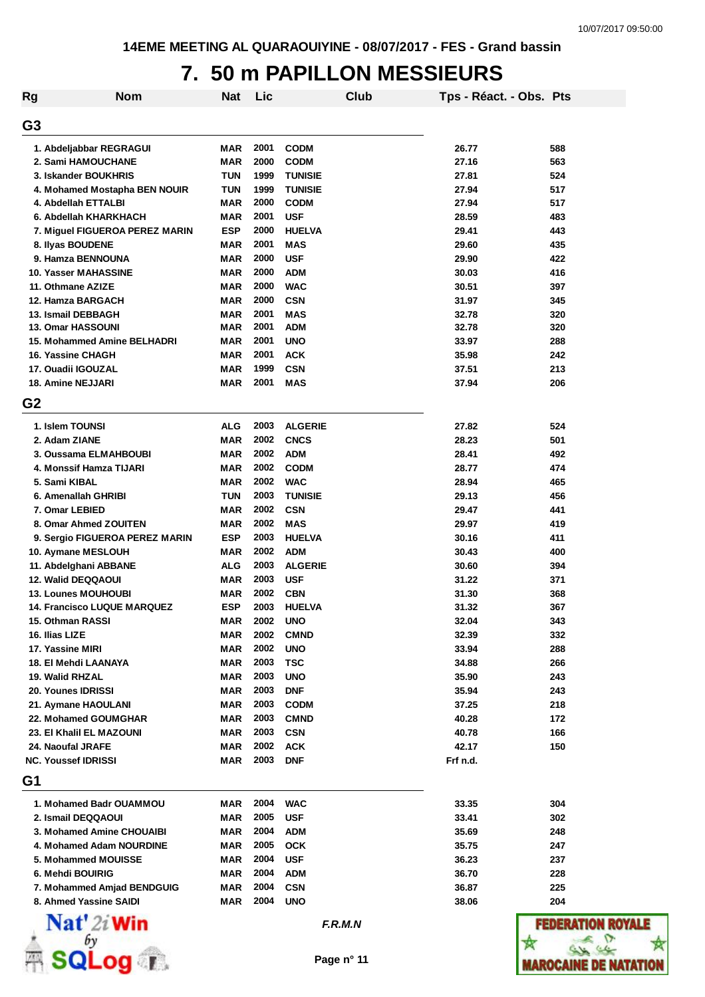### **7. 50 m PAPILLON MESSIEURS**

| Rg             | <b>Nom</b>                         | Nat        | Lic  |                | Club | Tps - Réact. - Obs. Pts |         |
|----------------|------------------------------------|------------|------|----------------|------|-------------------------|---------|
| G <sub>3</sub> |                                    |            |      |                |      |                         |         |
|                | 1. Abdeljabbar REGRAGUI            | MAR        | 2001 | <b>CODM</b>    |      | 26.77                   | 588     |
|                | 2. Sami HAMOUCHANE                 | MAR        | 2000 | <b>CODM</b>    |      | 27.16                   | 563     |
|                | 3. Iskander BOUKHRIS               | <b>TUN</b> | 1999 | <b>TUNISIE</b> |      | 27.81                   | 524     |
|                | 4. Mohamed Mostapha BEN NOUIR      | <b>TUN</b> | 1999 | <b>TUNISIE</b> |      | 27.94                   | 517     |
|                | 4. Abdellah ETTALBI                | MAR        | 2000 | <b>CODM</b>    |      | 27.94                   | 517     |
|                | 6. Abdellah KHARKHACH              | MAR        | 2001 | <b>USF</b>     |      | 28.59                   | 483     |
|                | 7. Miguel FIGUEROA PEREZ MARIN     | <b>ESP</b> | 2000 | <b>HUELVA</b>  |      | 29.41                   | 443     |
|                | 8. Ilyas BOUDENE                   | MAR        | 2001 | <b>MAS</b>     |      | 29.60                   | 435     |
|                | 9. Hamza BENNOUNA                  | MAR        | 2000 | <b>USF</b>     |      | 29.90                   | 422     |
|                | <b>10. Yasser MAHASSINE</b>        | MAR        | 2000 | <b>ADM</b>     |      | 30.03                   | 416     |
|                | 11. Othmane AZIZE                  | MAR        | 2000 | <b>WAC</b>     |      | 30.51                   | 397     |
|                | 12. Hamza BARGACH                  | MAR        | 2000 | <b>CSN</b>     |      | 31.97                   | 345     |
|                | 13. Ismail DEBBAGH                 | MAR        | 2001 | <b>MAS</b>     |      | 32.78                   | 320     |
|                | <b>13. Omar HASSOUNI</b>           | MAR        | 2001 | <b>ADM</b>     |      | 32.78                   | 320     |
|                | 15. Mohammed Amine BELHADRI        | MAR        | 2001 | <b>UNO</b>     |      | 33.97                   | 288     |
|                | 16. Yassine CHAGH                  | MAR        | 2001 | <b>ACK</b>     |      | 35.98                   | 242     |
|                | 17. Ouadii IGOUZAL                 | MAR        | 1999 | <b>CSN</b>     |      | 37.51                   | 213     |
|                | <b>18. Amine NEJJARI</b>           | MAR        | 2001 | <b>MAS</b>     |      | 37.94                   | 206     |
| G <sub>2</sub> |                                    |            |      |                |      |                         |         |
|                | 1. Islem TOUNSI                    | <b>ALG</b> | 2003 | <b>ALGERIE</b> |      | 27.82                   | 524     |
|                | 2. Adam ZIANE                      | MAR        | 2002 | <b>CNCS</b>    |      | 28.23                   | 501     |
|                | 3. Oussama ELMAHBOUBI              | <b>MAR</b> | 2002 | <b>ADM</b>     |      | 28.41                   | 492     |
|                | 4. Monssif Hamza TIJARI            | MAR        | 2002 | <b>CODM</b>    |      | 28.77                   | 474     |
|                | 5. Sami KIBAL                      | <b>MAR</b> | 2002 | <b>WAC</b>     |      | 28.94                   | 465     |
|                | 6. Amenallah GHRIBI                | <b>TUN</b> | 2003 | <b>TUNISIE</b> |      | 29.13                   | 456     |
|                | 7. Omar LEBIED                     | MAR        | 2002 | <b>CSN</b>     |      | 29.47                   | 441     |
|                | 8. Omar Ahmed ZOUITEN              | MAR        | 2002 | <b>MAS</b>     |      | 29.97                   | 419     |
|                | 9. Sergio FIGUEROA PEREZ MARIN     | <b>ESP</b> | 2003 | <b>HUELVA</b>  |      | 30.16                   | 411     |
|                | 10. Aymane MESLOUH                 | <b>MAR</b> | 2002 | <b>ADM</b>     |      | 30.43                   | 400     |
|                | 11. Abdelghani ABBANE              | <b>ALG</b> | 2003 | <b>ALGERIE</b> |      | 30.60                   | 394     |
|                | 12. Walid DEQQAOUI                 | MAR        | 2003 | <b>USF</b>     |      | 31.22                   | 371     |
|                | <b>13. Lounes MOUHOUBI</b>         | MAR        | 2002 | <b>CBN</b>     |      | 31.30                   | 368     |
|                | <b>14. Francisco LUQUE MARQUEZ</b> | ESP        | 2003 | <b>HUELVA</b>  |      | 31.32                   | 367     |
|                | 15. Othman RASSI                   | MAR        | 2002 | <b>UNO</b>     |      | 32.04                   | 343     |
|                | 16. Ilias LIZE                     | MAR        | 2002 | <b>CMND</b>    |      | 32.39                   | 332     |
|                | 17. Yassine MIRI                   | MAR        | 2002 | <b>UNO</b>     |      | 33.94                   | 288     |
|                | 18. El Mehdi LAANAYA               | MAR        | 2003 | <b>TSC</b>     |      | 34.88                   | 266     |
|                | 19. Walid RHZAL                    | MAR        | 2003 | <b>UNO</b>     |      | 35.90                   | 243     |
|                | 20. Younes IDRISSI                 | MAR        | 2003 | <b>DNF</b>     |      | 35.94                   | 243     |
|                | 21. Aymane HAOULANI                | MAR        | 2003 | <b>CODM</b>    |      | 37.25                   | 218     |
|                | 22. Mohamed GOUMGHAR               | MAR        | 2003 | <b>CMND</b>    |      | 40.28                   | 172     |
|                | 23. El Khalil EL MAZOUNI           | MAR        | 2003 | <b>CSN</b>     |      | 40.78                   | 166     |
|                | 24. Naoufal JRAFE                  | MAR        | 2002 | <b>ACK</b>     |      | 42.17                   | 150     |
|                | <b>NC. Youssef IDRISSI</b>         | MAR        | 2003 | <b>DNF</b>     |      | Frf n.d.                |         |
| G1             |                                    |            |      |                |      |                         |         |
|                | 1. Mohamed Badr OUAMMOU            | MAR        | 2004 | <b>WAC</b>     |      | 33.35                   | 304     |
|                | 2. Ismail DEQQAOUI                 | MAR        | 2005 | <b>USF</b>     |      | 33.41                   | 302     |
|                | 3. Mohamed Amine CHOUAIBI          | MAR        | 2004 | <b>ADM</b>     |      | 35.69                   | 248     |
|                | 4. Mohamed Adam NOURDINE           | MAR        | 2005 | <b>OCK</b>     |      | 35.75                   | 247     |
|                | 5. Mohammed MOUISSE                | MAR        | 2004 | <b>USF</b>     |      | 36.23                   | 237     |
|                | 6. Mehdi BOUIRIG                   | MAR        | 2004 | <b>ADM</b>     |      | 36.70                   | 228     |
|                | 7. Mohammed Amjad BENDGUIG         | MAR        | 2004 | <b>CSN</b>     |      | 36.87                   | 225     |
|                | 8. Ahmed Yassine SAIDI             | MAR        | 2004 | <b>UNO</b>     |      | 38.06                   | 204     |
|                | Nat' 2i Win                        |            |      | F.R.M.N        |      |                         | FEDE    |
|                | .001                               |            |      | Page n° 11     |      |                         | IAROCAI |

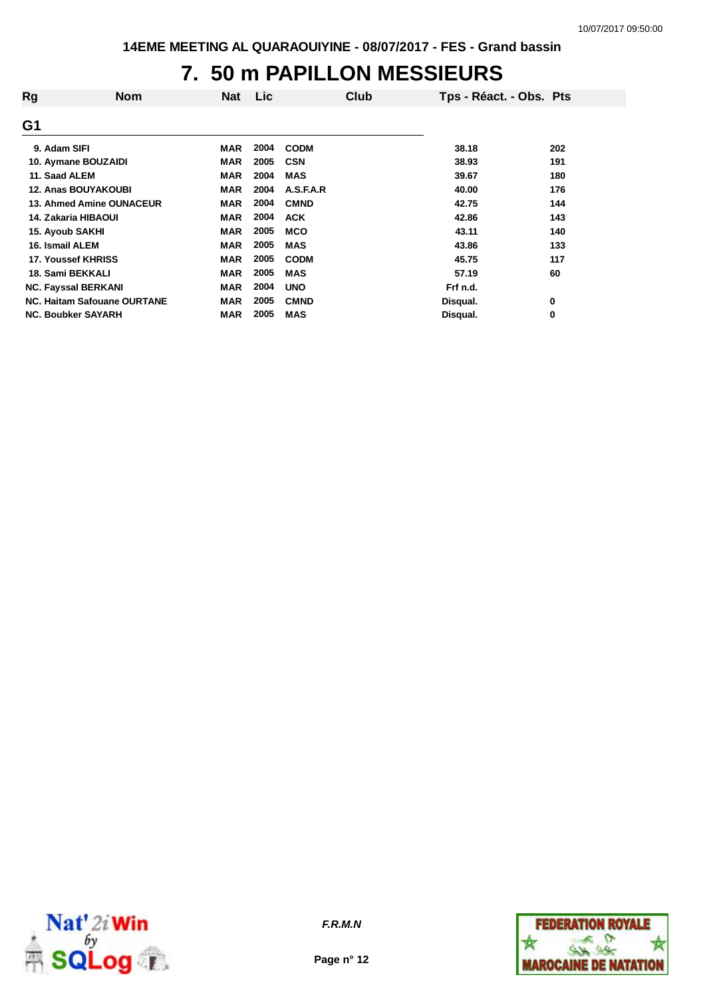## **7. 50 m PAPILLON MESSIEURS**

| Rg<br><b>Nom</b>                   | <b>Nat</b> | Lic  | Club        | Tps - Réact. - Obs. Pts |     |
|------------------------------------|------------|------|-------------|-------------------------|-----|
| G <sub>1</sub>                     |            |      |             |                         |     |
| 9. Adam SIFI                       | MAR        | 2004 | <b>CODM</b> | 38.18                   | 202 |
| 10. Aymane BOUZAIDI                | <b>MAR</b> | 2005 | <b>CSN</b>  | 38.93                   | 191 |
| 11. Saad ALEM                      | <b>MAR</b> | 2004 | <b>MAS</b>  | 39.67                   | 180 |
| <b>12. Anas BOUYAKOUBI</b>         | <b>MAR</b> | 2004 | A.S.F.A.R   | 40.00                   | 176 |
| <b>13. Ahmed Amine OUNACEUR</b>    | <b>MAR</b> | 2004 | <b>CMND</b> | 42.75                   | 144 |
| 14. Zakaria HIBAOUI                | <b>MAR</b> | 2004 | <b>ACK</b>  | 42.86                   | 143 |
| 15. Ayoub SAKHI                    | <b>MAR</b> | 2005 | <b>MCO</b>  | 43.11                   | 140 |
| 16. Ismail ALEM                    | <b>MAR</b> | 2005 | <b>MAS</b>  | 43.86                   | 133 |
| 17. Youssef KHRISS                 | <b>MAR</b> | 2005 | <b>CODM</b> | 45.75                   | 117 |
| 18. Sami BEKKALI                   | <b>MAR</b> | 2005 | <b>MAS</b>  | 57.19                   | 60  |
| <b>NC. Fayssal BERKANI</b>         | <b>MAR</b> | 2004 | <b>UNO</b>  | Frf n.d.                |     |
| <b>NC. Haitam Safouane OURTANE</b> | <b>MAR</b> | 2005 | <b>CMND</b> | Disqual.                | 0   |
| <b>NC. Boubker SAYARH</b>          | <b>MAR</b> | 2005 | <b>MAS</b>  | Disqual.                | 0   |



**Page n° 12**

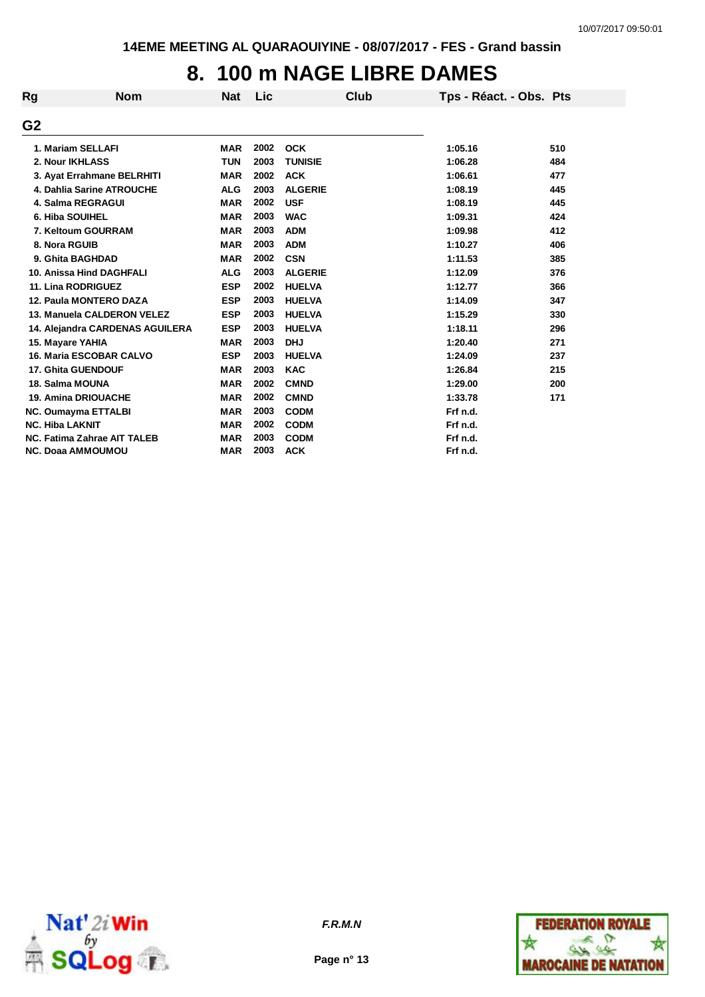## **8. 100 m NAGE LIBRE DAMES**

| Rg | <b>Nom</b>                      | <b>Nat</b> | Lic  |                | Club | Tps - Réact. - Obs. Pts |     |
|----|---------------------------------|------------|------|----------------|------|-------------------------|-----|
| G2 |                                 |            |      |                |      |                         |     |
|    | 1. Mariam SELLAFI               | <b>MAR</b> | 2002 | <b>OCK</b>     |      | 1:05.16                 | 510 |
|    | 2. Nour IKHLASS                 | <b>TUN</b> | 2003 | <b>TUNISIE</b> |      | 1:06.28                 | 484 |
|    | 3. Ayat Errahmane BELRHITI      | <b>MAR</b> | 2002 | <b>ACK</b>     |      | 1:06.61                 | 477 |
|    | 4. Dahlia Sarine ATROUCHE       | <b>ALG</b> | 2003 | <b>ALGERIE</b> |      | 1:08.19                 | 445 |
|    | <b>4. Salma REGRAGUI</b>        | <b>MAR</b> | 2002 | <b>USF</b>     |      | 1:08.19                 | 445 |
|    | 6. Hiba SOUIHEL                 | <b>MAR</b> | 2003 | <b>WAC</b>     |      | 1:09.31                 | 424 |
|    | 7. Keltoum GOURRAM              | <b>MAR</b> | 2003 | <b>ADM</b>     |      | 1:09.98                 | 412 |
|    | 8. Nora RGUIB                   | <b>MAR</b> | 2003 | <b>ADM</b>     |      | 1:10.27                 | 406 |
|    | 9. Ghita BAGHDAD                | <b>MAR</b> | 2002 | <b>CSN</b>     |      | 1:11.53                 | 385 |
|    | 10. Anissa Hind DAGHFALI        | <b>ALG</b> | 2003 | <b>ALGERIE</b> |      | 1:12.09                 | 376 |
|    | 11. Lina RODRIGUEZ              | <b>ESP</b> | 2002 | <b>HUELVA</b>  |      | 1:12.77                 | 366 |
|    | 12. Paula MONTERO DAZA          | <b>ESP</b> | 2003 | <b>HUELVA</b>  |      | 1:14.09                 | 347 |
|    | 13. Manuela CALDERON VELEZ      | <b>ESP</b> | 2003 | <b>HUELVA</b>  |      | 1:15.29                 | 330 |
|    | 14. Alejandra CARDENAS AGUILERA | <b>ESP</b> | 2003 | <b>HUELVA</b>  |      | 1:18.11                 | 296 |
|    | 15. Mayare YAHIA                | <b>MAR</b> | 2003 | <b>DHJ</b>     |      | 1:20.40                 | 271 |
|    | <b>16. Maria ESCOBAR CALVO</b>  | <b>ESP</b> | 2003 | <b>HUELVA</b>  |      | 1:24.09                 | 237 |
|    | <b>17. Ghita GUENDOUF</b>       | <b>MAR</b> | 2003 | <b>KAC</b>     |      | 1:26.84                 | 215 |
|    | 18. Salma MOUNA                 | <b>MAR</b> | 2002 | <b>CMND</b>    |      | 1:29.00                 | 200 |
|    | <b>19. Amina DRIOUACHE</b>      | <b>MAR</b> | 2002 | <b>CMND</b>    |      | 1:33.78                 | 171 |
|    | <b>NC. Oumayma ETTALBI</b>      | <b>MAR</b> | 2003 | <b>CODM</b>    |      | Frf n.d.                |     |
|    | <b>NC. Hiba LAKNIT</b>          | <b>MAR</b> | 2002 | <b>CODM</b>    |      | Frf n.d.                |     |
|    | NC. Fatima Zahrae AIT TALEB     | <b>MAR</b> | 2003 | <b>CODM</b>    |      | Frf n.d.                |     |
|    | <b>NC. Doaa AMMOUMOU</b>        | <b>MAR</b> | 2003 | <b>ACK</b>     |      | Frf n.d.                |     |



*F.R.M.N*

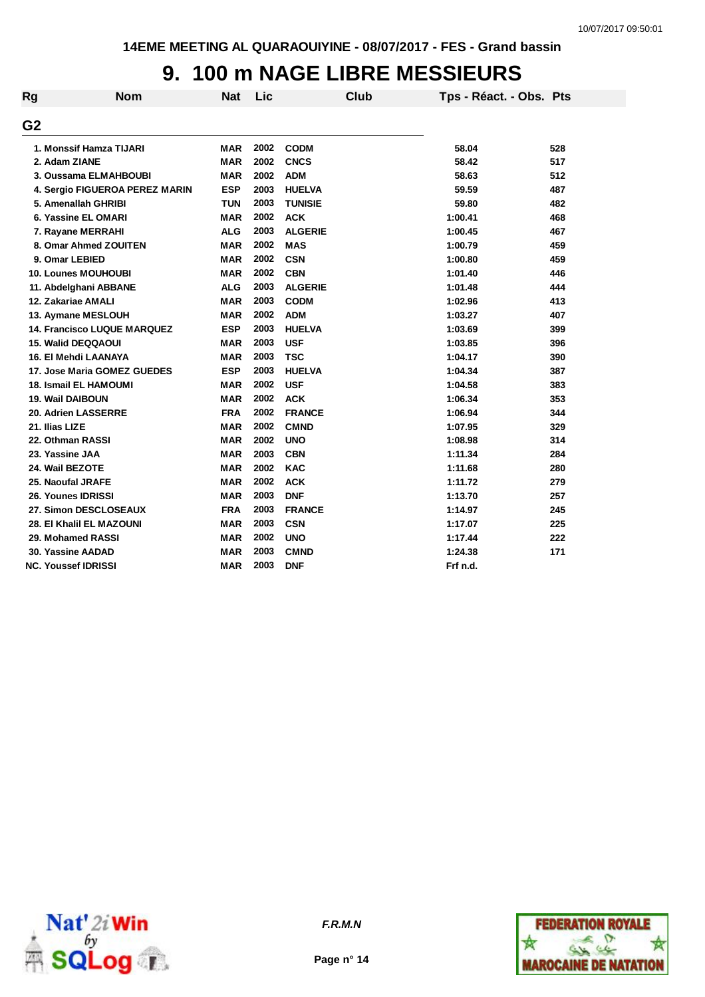## **9. 100 m NAGE LIBRE MESSIEURS**

| Rg             | <b>Nom</b>                     | <b>Nat</b> | Lic  |                | <b>Club</b> | Tps - Réact. - Obs. Pts |     |
|----------------|--------------------------------|------------|------|----------------|-------------|-------------------------|-----|
| G <sub>2</sub> |                                |            |      |                |             |                         |     |
|                | 1. Monssif Hamza TIJARI        | <b>MAR</b> | 2002 | <b>CODM</b>    |             | 58.04                   | 528 |
|                | 2. Adam ZIANE                  | <b>MAR</b> | 2002 | <b>CNCS</b>    |             | 58.42                   | 517 |
|                | 3. Oussama ELMAHBOUBI          | <b>MAR</b> | 2002 | <b>ADM</b>     |             | 58.63                   | 512 |
|                | 4. Sergio FIGUEROA PEREZ MARIN | <b>ESP</b> | 2003 | <b>HUELVA</b>  |             | 59.59                   | 487 |
|                | 5. Amenallah GHRIBI            | <b>TUN</b> | 2003 | <b>TUNISIE</b> |             | 59.80                   | 482 |
|                | 6. Yassine EL OMARI            | <b>MAR</b> | 2002 | <b>ACK</b>     |             | 1:00.41                 | 468 |
|                | 7. Rayane MERRAHI              | <b>ALG</b> | 2003 | <b>ALGERIE</b> |             | 1:00.45                 | 467 |
|                | 8. Omar Ahmed ZOUITEN          | <b>MAR</b> | 2002 | <b>MAS</b>     |             | 1:00.79                 | 459 |
|                | 9. Omar LEBIED                 | <b>MAR</b> | 2002 | <b>CSN</b>     |             | 1:00.80                 | 459 |
|                | <b>10. Lounes MOUHOUBI</b>     | <b>MAR</b> | 2002 | <b>CBN</b>     |             | 1:01.40                 | 446 |
|                | 11. Abdelghani ABBANE          | <b>ALG</b> | 2003 | <b>ALGERIE</b> |             | 1:01.48                 | 444 |
|                | 12. Zakariae AMALI             | <b>MAR</b> | 2003 | <b>CODM</b>    |             | 1:02.96                 | 413 |
|                | 13. Aymane MESLOUH             | <b>MAR</b> | 2002 | <b>ADM</b>     |             | 1:03.27                 | 407 |
|                | 14. Francisco LUQUE MARQUEZ    | <b>ESP</b> | 2003 | <b>HUELVA</b>  |             | 1:03.69                 | 399 |
|                | 15. Walid DEQQAOUI             | <b>MAR</b> | 2003 | <b>USF</b>     |             | 1:03.85                 | 396 |
|                | 16. El Mehdi LAANAYA           | <b>MAR</b> | 2003 | <b>TSC</b>     |             | 1:04.17                 | 390 |
|                | 17. Jose Maria GOMEZ GUEDES    | <b>ESP</b> | 2003 | <b>HUELVA</b>  |             | 1:04.34                 | 387 |
|                | 18. Ismail EL HAMOUMI          | <b>MAR</b> | 2002 | <b>USF</b>     |             | 1:04.58                 | 383 |
|                | 19. Wail DAIBOUN               | <b>MAR</b> | 2002 | <b>ACK</b>     |             | 1:06.34                 | 353 |
|                | 20. Adrien LASSERRE            | <b>FRA</b> | 2002 | <b>FRANCE</b>  |             | 1:06.94                 | 344 |
|                | 21. Ilias LIZE                 | <b>MAR</b> | 2002 | <b>CMND</b>    |             | 1:07.95                 | 329 |
|                | 22. Othman RASSI               | <b>MAR</b> | 2002 | <b>UNO</b>     |             | 1:08.98                 | 314 |
|                | 23. Yassine JAA                | <b>MAR</b> | 2003 | <b>CBN</b>     |             | 1:11.34                 | 284 |
|                | 24. Wail BEZOTE                | <b>MAR</b> | 2002 | <b>KAC</b>     |             | 1:11.68                 | 280 |
|                | 25. Naoufal JRAFE              | <b>MAR</b> | 2002 | <b>ACK</b>     |             | 1:11.72                 | 279 |
|                | 26. Younes IDRISSI             | <b>MAR</b> | 2003 | <b>DNF</b>     |             | 1:13.70                 | 257 |
|                | 27. Simon DESCLOSEAUX          | <b>FRA</b> | 2003 | <b>FRANCE</b>  |             | 1:14.97                 | 245 |
|                | 28. El Khalil EL MAZOUNI       | <b>MAR</b> | 2003 | <b>CSN</b>     |             | 1:17.07                 | 225 |
|                | 29. Mohamed RASSI              | <b>MAR</b> | 2002 | <b>UNO</b>     |             | 1:17.44                 | 222 |
|                | 30. Yassine AADAD              | <b>MAR</b> | 2003 | <b>CMND</b>    |             | 1:24.38                 | 171 |
|                | <b>NC. Youssef IDRISSI</b>     | <b>MAR</b> | 2003 | <b>DNF</b>     |             | Frf n.d.                |     |



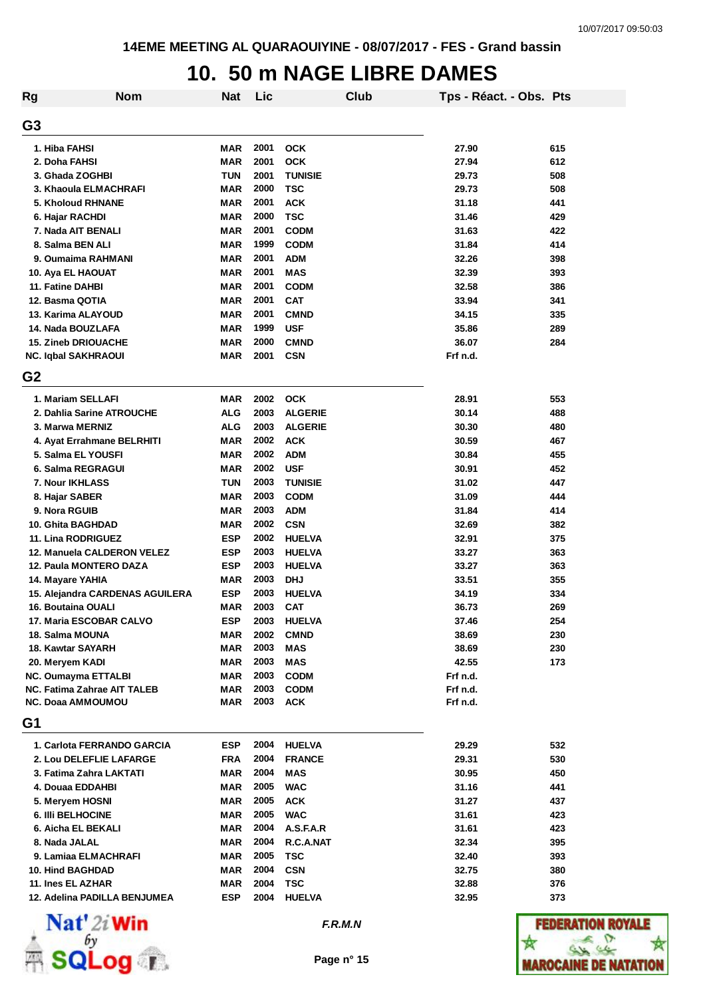#### **10. 50 m NAGE LIBRE DAMES**

| <b>Rg</b>      | <b>Nom</b>                      | Nat        | Lic  |                | Club | Tps - Réact. - Obs. Pts |     |
|----------------|---------------------------------|------------|------|----------------|------|-------------------------|-----|
| G <sub>3</sub> |                                 |            |      |                |      |                         |     |
|                | 1. Hiba FAHSI                   | <b>MAR</b> | 2001 | <b>OCK</b>     |      | 27.90                   | 615 |
|                | 2. Doha FAHSI                   | <b>MAR</b> | 2001 | <b>OCK</b>     |      | 27.94                   | 612 |
|                | 3. Ghada ZOGHBI                 | <b>TUN</b> | 2001 | <b>TUNISIE</b> |      | 29.73                   | 508 |
|                | 3. Khaoula ELMACHRAFI           | <b>MAR</b> | 2000 | <b>TSC</b>     |      | 29.73                   | 508 |
|                | <b>5. Kholoud RHNANE</b>        | <b>MAR</b> | 2001 | <b>ACK</b>     |      | 31.18                   | 441 |
|                | 6. Hajar RACHDI                 | <b>MAR</b> | 2000 | <b>TSC</b>     |      | 31.46                   | 429 |
|                | 7. Nada AIT BENALI              | <b>MAR</b> | 2001 | <b>CODM</b>    |      | 31.63                   | 422 |
|                | 8. Salma BEN ALI                | <b>MAR</b> | 1999 | <b>CODM</b>    |      | 31.84                   | 414 |
|                | 9. Oumaima RAHMANI              | <b>MAR</b> | 2001 | <b>ADM</b>     |      | 32.26                   | 398 |
|                | 10. Aya EL HAOUAT               | <b>MAR</b> | 2001 | <b>MAS</b>     |      | 32.39                   | 393 |
|                | 11. Fatine DAHBI                | <b>MAR</b> | 2001 | <b>CODM</b>    |      | 32.58                   | 386 |
|                | 12. Basma QOTIA                 | <b>MAR</b> | 2001 | <b>CAT</b>     |      | 33.94                   | 341 |
|                | 13. Karima ALAYOUD              | MAR        | 2001 | <b>CMND</b>    |      | 34.15                   | 335 |
|                | 14. Nada BOUZLAFA               | <b>MAR</b> | 1999 | <b>USF</b>     |      | 35.86                   | 289 |
|                | <b>15. Zineb DRIOUACHE</b>      | <b>MAR</b> | 2000 | <b>CMND</b>    |      | 36.07                   | 284 |
|                | <b>NC. Iqbal SAKHRAOUI</b>      | <b>MAR</b> | 2001 | <b>CSN</b>     |      | Frf n.d.                |     |
| G <sub>2</sub> |                                 |            |      |                |      |                         |     |
|                | 1. Mariam SELLAFI               | MAR        | 2002 | <b>OCK</b>     |      | 28.91                   | 553 |
|                | 2. Dahlia Sarine ATROUCHE       | <b>ALG</b> | 2003 | <b>ALGERIE</b> |      | 30.14                   | 488 |
|                | 3. Marwa MERNIZ                 | <b>ALG</b> | 2003 | <b>ALGERIE</b> |      | 30.30                   | 480 |
|                | 4. Ayat Errahmane BELRHITI      | MAR        | 2002 | <b>ACK</b>     |      | 30.59                   | 467 |
|                | 5. Salma EL YOUSFI              | MAR        | 2002 | <b>ADM</b>     |      | 30.84                   | 455 |
|                | 6. Salma REGRAGUI               | MAR        | 2002 | <b>USF</b>     |      | 30.91                   | 452 |
|                | 7. Nour IKHLASS                 | TUN        | 2003 | <b>TUNISIE</b> |      | 31.02                   | 447 |
|                | 8. Hajar SABER                  | <b>MAR</b> | 2003 | <b>CODM</b>    |      | 31.09                   | 444 |
|                | 9. Nora RGUIB                   | <b>MAR</b> | 2003 | <b>ADM</b>     |      | 31.84                   | 414 |
|                | <b>10. Ghita BAGHDAD</b>        | <b>MAR</b> | 2002 | <b>CSN</b>     |      | 32.69                   | 382 |
|                | 11. Lina RODRIGUEZ              | <b>ESP</b> | 2002 | <b>HUELVA</b>  |      | 32.91                   | 375 |
|                | 12. Manuela CALDERON VELEZ      | <b>ESP</b> | 2003 | <b>HUELVA</b>  |      | 33.27                   | 363 |
|                | 12. Paula MONTERO DAZA          | <b>ESP</b> | 2003 | <b>HUELVA</b>  |      | 33.27                   | 363 |
|                | 14. Mayare YAHIA                | MAR        | 2003 | <b>DHJ</b>     |      | 33.51                   | 355 |
|                | 15. Alejandra CARDENAS AGUILERA | <b>ESP</b> | 2003 | <b>HUELVA</b>  |      | 34.19                   | 334 |
|                | 16. Boutaina OUALI              | <b>MAR</b> | 2003 | <b>CAT</b>     |      | 36.73                   | 269 |
|                | 17. Maria ESCOBAR CALVO         | ESP        | 2003 | <b>HUELVA</b>  |      | 37.46                   | 254 |
|                | 18. Salma MOUNA                 | <b>MAR</b> | 2002 | <b>CMND</b>    |      | 38.69                   | 230 |
|                | 18. Kawtar SAYARH               | <b>MAR</b> | 2003 | <b>MAS</b>     |      | 38.69                   | 230 |
|                | 20. Meryem KADI                 | <b>MAR</b> | 2003 | <b>MAS</b>     |      | 42.55                   | 173 |
|                | NC. Oumayma ETTALBI             | MAR        | 2003 | <b>CODM</b>    |      | Frf n.d.                |     |
|                | NC. Fatima Zahrae AIT TALEB     | MAR        | 2003 | <b>CODM</b>    |      | Frf n.d.                |     |
|                | <b>NC. Doaa AMMOUMOU</b>        | <b>MAR</b> | 2003 | <b>ACK</b>     |      | Frf n.d.                |     |
| G1             |                                 |            |      |                |      |                         |     |
|                | 1. Carlota FERRANDO GARCIA      | <b>ESP</b> | 2004 | <b>HUELVA</b>  |      | 29.29                   | 532 |
|                | 2. Lou DELEFLIE LAFARGE         | <b>FRA</b> | 2004 | <b>FRANCE</b>  |      | 29.31                   | 530 |
|                | 3. Fatima Zahra LAKTATI         | MAR        | 2004 | <b>MAS</b>     |      | 30.95                   | 450 |
|                | 4. Douaa EDDAHBI                | <b>MAR</b> | 2005 | <b>WAC</b>     |      | 31.16                   | 441 |
|                | 5. Meryem HOSNI                 | <b>MAR</b> | 2005 | <b>ACK</b>     |      | 31.27                   | 437 |
|                | <b>6. IIII BELHOCINE</b>        | <b>MAR</b> | 2005 | <b>WAC</b>     |      | 31.61                   | 423 |
|                | 6. Aicha EL BEKALI              | <b>MAR</b> | 2004 | A.S.F.A.R      |      | 31.61                   | 423 |
|                | 8. Nada JALAL                   | <b>MAR</b> | 2004 | R.C.A.NAT      |      | 32.34                   | 395 |
|                | 9. Lamiaa ELMACHRAFI            | MAR        | 2005 | <b>TSC</b>     |      | 32.40                   | 393 |
|                | <b>10. Hind BAGHDAD</b>         | <b>MAR</b> | 2004 | <b>CSN</b>     |      | 32.75                   | 380 |
|                | 11. Ines EL AZHAR               | <b>MAR</b> | 2004 | <b>TSC</b>     |      | 32.88                   | 376 |
|                | 12. Adelina PADILLA BENJUMEA    | <b>ESP</b> | 2004 | <b>HUELVA</b>  |      | 32.95                   | 373 |
|                |                                 |            |      |                |      |                         |     |



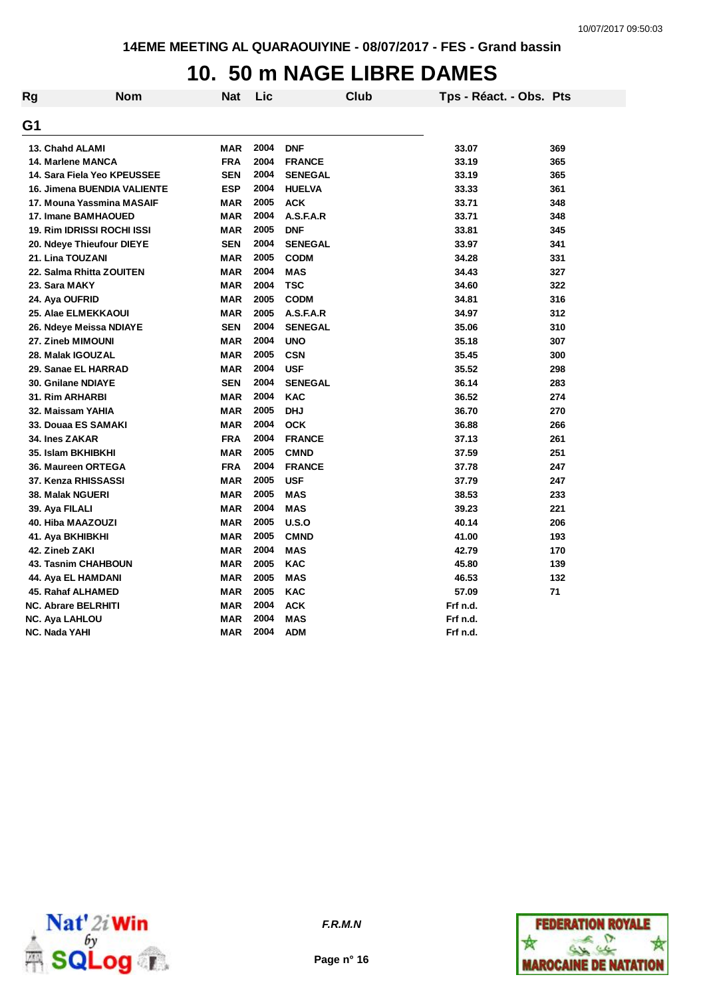# **10. 50 m NAGE LIBRE DAMES**

| Rg | <b>Nom</b>                         | <b>Nat</b> | Lic  | <b>Club</b>    | Tps - Réact. - Obs. Pts |     |
|----|------------------------------------|------------|------|----------------|-------------------------|-----|
| G1 |                                    |            |      |                |                         |     |
|    | 13. Chahd ALAMI                    | MAR        | 2004 | <b>DNF</b>     | 33.07                   | 369 |
|    | 14. Marlene MANCA                  | <b>FRA</b> | 2004 | <b>FRANCE</b>  | 33.19                   | 365 |
|    | 14. Sara Fiela Yeo KPEUSSEE        | <b>SEN</b> | 2004 | <b>SENEGAL</b> | 33.19                   | 365 |
|    | <b>16. Jimena BUENDIA VALIENTE</b> | <b>ESP</b> | 2004 | <b>HUELVA</b>  | 33.33                   | 361 |
|    | 17. Mouna Yassmina MASAIF          | <b>MAR</b> | 2005 | <b>ACK</b>     | 33.71                   | 348 |
|    | <b>17. Imane BAMHAOUED</b>         | MAR        | 2004 | A.S.F.A.R      | 33.71                   | 348 |
|    | 19. Rim IDRISSI ROCHI ISSI         | <b>MAR</b> | 2005 | <b>DNF</b>     | 33.81                   | 345 |
|    | 20. Ndeye Thieufour DIEYE          | <b>SEN</b> | 2004 | <b>SENEGAL</b> | 33.97                   | 341 |
|    | 21. Lina TOUZANI                   | <b>MAR</b> | 2005 | <b>CODM</b>    | 34.28                   | 331 |
|    | 22. Salma Rhitta ZOUITEN           | <b>MAR</b> | 2004 | <b>MAS</b>     | 34.43                   | 327 |
|    | 23. Sara MAKY                      | <b>MAR</b> | 2004 | <b>TSC</b>     | 34.60                   | 322 |
|    | 24. Aya OUFRID                     | <b>MAR</b> | 2005 | <b>CODM</b>    | 34.81                   | 316 |
|    | <b>25. Alae ELMEKKAOUI</b>         | <b>MAR</b> | 2005 | A.S.F.A.R      | 34.97                   | 312 |
|    | 26. Ndeye Meissa NDIAYE            | <b>SEN</b> | 2004 | <b>SENEGAL</b> | 35.06                   | 310 |
|    | 27. Zineb MIMOUNI                  | <b>MAR</b> | 2004 | <b>UNO</b>     | 35.18                   | 307 |
|    | 28. Malak IGOUZAL                  | <b>MAR</b> | 2005 | <b>CSN</b>     | 35.45                   | 300 |
|    | 29. Sanae EL HARRAD                | <b>MAR</b> | 2004 | <b>USF</b>     | 35.52                   | 298 |
|    | 30. Gnilane NDIAYE                 | <b>SEN</b> | 2004 | <b>SENEGAL</b> | 36.14                   | 283 |
|    | <b>31. Rim ARHARBI</b>             | <b>MAR</b> | 2004 | <b>KAC</b>     | 36.52                   | 274 |
|    | 32. Maissam YAHIA                  | <b>MAR</b> | 2005 | <b>DHJ</b>     | 36.70                   | 270 |
|    | 33. Douaa ES SAMAKI                | <b>MAR</b> | 2004 | <b>OCK</b>     | 36.88                   | 266 |
|    | <b>34. Ines ZAKAR</b>              | <b>FRA</b> | 2004 | <b>FRANCE</b>  | 37.13                   | 261 |
|    | 35. Islam BKHIBKHI                 | <b>MAR</b> | 2005 | <b>CMND</b>    | 37.59                   | 251 |
|    | 36. Maureen ORTEGA                 | <b>FRA</b> | 2004 | <b>FRANCE</b>  | 37.78                   | 247 |
|    | 37. Kenza RHISSASSI                | <b>MAR</b> | 2005 | <b>USF</b>     | 37.79                   | 247 |
|    | <b>38. Malak NGUERI</b>            | <b>MAR</b> | 2005 | <b>MAS</b>     | 38.53                   | 233 |
|    | 39. Aya FILALI                     | <b>MAR</b> | 2004 | <b>MAS</b>     | 39.23                   | 221 |
|    | 40. Hiba MAAZOUZI                  | <b>MAR</b> | 2005 | U.S.O          | 40.14                   | 206 |
|    | 41. Aya BKHIBKHI                   | <b>MAR</b> | 2005 | <b>CMND</b>    | 41.00                   | 193 |
|    | 42. Zineb ZAKI                     | <b>MAR</b> | 2004 | <b>MAS</b>     | 42.79                   | 170 |
|    | <b>43. Tasnim CHAHBOUN</b>         | <b>MAR</b> | 2005 | <b>KAC</b>     | 45.80                   | 139 |
|    | 44. Aya EL HAMDANI                 | <b>MAR</b> | 2005 | <b>MAS</b>     | 46.53                   | 132 |
|    | 45. Rahaf ALHAMED                  | <b>MAR</b> | 2005 | <b>KAC</b>     | 57.09                   | 71  |
|    | <b>NC. Abrare BELRHITI</b>         | <b>MAR</b> | 2004 | <b>ACK</b>     | Frf n.d.                |     |
|    | <b>NC. Aya LAHLOU</b>              | <b>MAR</b> | 2004 | <b>MAS</b>     | Frf n.d.                |     |
|    | NC. Nada YAHI                      | <b>MAR</b> | 2004 | <b>ADM</b>     | Frf n.d.                |     |



**Page n° 16**

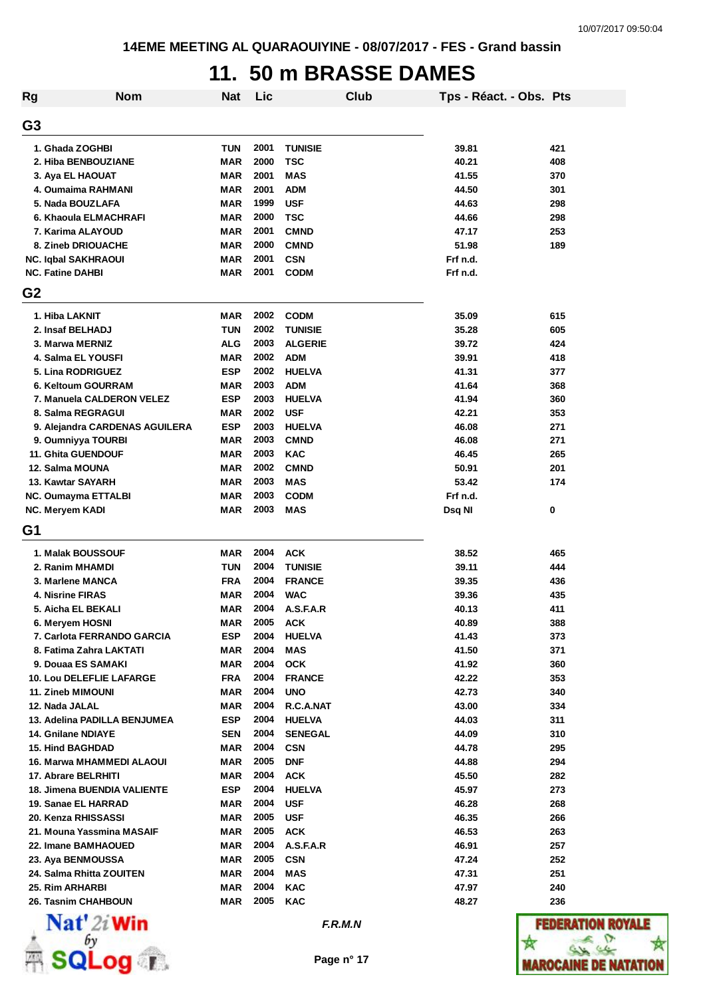### **11. 50 m BRASSE DAMES**

| Rg                                            | <b>Nom</b>                     | <b>Nat</b> | Lic          |                             | Club | Tps - Réact. - Obs. Pts |            |
|-----------------------------------------------|--------------------------------|------------|--------------|-----------------------------|------|-------------------------|------------|
| G <sub>3</sub>                                |                                |            |              |                             |      |                         |            |
| 1. Ghada ZOGHBI                               |                                | <b>TUN</b> | 2001         | <b>TUNISIE</b>              |      | 39.81                   | 421        |
| 2. Hiba BENBOUZIANE                           |                                | MAR        | 2000         | TSC                         |      | 40.21                   | 408        |
| 3. Aya EL HAOUAT                              |                                | <b>MAR</b> | 2001         | <b>MAS</b>                  |      | 41.55                   | 370        |
| 4. Oumaima RAHMANI                            |                                | <b>MAR</b> | 2001         | <b>ADM</b>                  |      | 44.50                   | 301        |
| 5. Nada BOUZLAFA                              |                                | <b>MAR</b> | 1999         | <b>USF</b>                  |      | 44.63                   | 298        |
| 6. Khaoula ELMACHRAFI                         |                                | <b>MAR</b> | 2000         | <b>TSC</b>                  |      | 44.66                   | 298        |
| 7. Karima ALAYOUD                             |                                | <b>MAR</b> | 2001         | <b>CMND</b>                 |      | 47.17                   | 253        |
| 8. Zineb DRIOUACHE                            |                                | <b>MAR</b> | 2000         | <b>CMND</b>                 |      | 51.98                   | 189        |
| NC. Iqbal SAKHRAOUI                           |                                | <b>MAR</b> | 2001         | <b>CSN</b>                  |      | Frf n.d.                |            |
| <b>NC. Fatine DAHBI</b>                       |                                | <b>MAR</b> | 2001         | <b>CODM</b>                 |      | Frf n.d.                |            |
| G <sub>2</sub>                                |                                |            |              |                             |      |                         |            |
| 1. Hiba LAKNIT                                |                                | MAR        | 2002         | <b>CODM</b>                 |      | 35.09                   | 615        |
| 2. Insaf BELHADJ                              |                                | <b>TUN</b> | 2002         | <b>TUNISIE</b>              |      | 35.28                   | 605        |
| 3. Marwa MERNIZ                               |                                | <b>ALG</b> | 2003         | <b>ALGERIE</b>              |      | 39.72                   | 424        |
| 4. Salma EL YOUSFI                            |                                | MAR        | 2002         | <b>ADM</b>                  |      | 39.91                   | 418        |
| 5. Lina RODRIGUEZ                             |                                | <b>ESP</b> | 2002         | <b>HUELVA</b>               |      | 41.31                   |            |
| 6. Keltoum GOURRAM                            |                                | MAR        | 2003         | <b>ADM</b>                  |      | 41.64                   | 377        |
| 7. Manuela CALDERON VELEZ                     |                                | <b>ESP</b> | 2003         | <b>HUELVA</b>               |      | 41.94                   | 368<br>360 |
|                                               |                                | <b>MAR</b> | 2002         |                             |      | 42.21                   |            |
| 8. Salma REGRAGUI                             | 9. Alejandra CARDENAS AGUILERA | <b>ESP</b> | 2003         | <b>USF</b><br><b>HUELVA</b> |      | 46.08                   | 353<br>271 |
| 9. Oumniyya TOURBI                            |                                | <b>MAR</b> | 2003         | <b>CMND</b>                 |      | 46.08                   | 271        |
| <b>11. Ghita GUENDOUF</b>                     |                                | <b>MAR</b> | 2003         | <b>KAC</b>                  |      | 46.45                   | 265        |
| 12. Salma MOUNA                               |                                | MAR        | 2002         | <b>CMND</b>                 |      | 50.91                   | 201        |
| 13. Kawtar SAYARH                             |                                | MAR        | 2003         | <b>MAS</b>                  |      | 53.42                   | 174        |
| <b>NC. Oumayma ETTALBI</b>                    |                                | MAR        | 2003         | <b>CODM</b>                 |      | Frf n.d.                |            |
| NC. Meryem KADI                               |                                | <b>MAR</b> | 2003         | <b>MAS</b>                  |      | Dsq NI                  | 0          |
| G1                                            |                                |            |              |                             |      |                         |            |
|                                               |                                |            |              |                             |      |                         |            |
| 1. Malak BOUSSOUF                             |                                | MAR        | 2004         | <b>ACK</b>                  |      | 38.52                   | 465        |
| 2. Ranim MHAMDI                               |                                | TUN        | 2004         | <b>TUNISIE</b>              |      | 39.11                   | 444        |
| 3. Marlene MANCA                              |                                | <b>FRA</b> | 2004         | <b>FRANCE</b>               |      | 39.35                   | 436        |
| 4. Nisrine FIRAS                              |                                | MAR        | 2004<br>2004 | <b>WAC</b>                  |      | 39.36                   | 435        |
| 5. Aicha EL BEKALI                            |                                | <b>MAR</b> |              | A.S.F.A.R                   |      | 40.13                   | 411        |
| 6. Meryem HOSNI                               |                                | MAR        | 2005         | <b>ACK</b>                  |      | 40.89                   | 388        |
| 7. Carlota FERRANDO GARCIA                    |                                | <b>ESP</b> | 2004         | <b>HUELVA</b>               |      | 41.43                   | 373        |
| 8. Fatima Zahra LAKTATI<br>9. Douaa ES SAMAKI |                                | MAR<br>MAR | 2004<br>2004 | MAS<br><b>OCK</b>           |      | 41.50                   | 371<br>360 |
| <b>10. Lou DELEFLIE LAFARGE</b>               |                                | <b>FRA</b> | 2004         | <b>FRANCE</b>               |      | 41.92<br>42.22          | 353        |
| <b>11. Zineb MIMOUNI</b>                      |                                | MAR        | 2004         | <b>UNO</b>                  |      | 42.73                   | 340        |
| 12. Nada JALAL                                |                                | MAR        | 2004         | R.C.A.NAT                   |      | 43.00                   |            |
| 13. Adelina PADILLA BENJUMEA                  |                                | <b>ESP</b> | 2004         | <b>HUELVA</b>               |      |                         | 334        |
|                                               |                                |            | 2004         |                             |      | 44.03                   | 311        |
| <b>14. Gnilane NDIAYE</b>                     |                                | <b>SEN</b> |              | <b>SENEGAL</b>              |      | 44.09                   | 310        |
| <b>15. Hind BAGHDAD</b>                       |                                | MAR        | 2004<br>2005 | <b>CSN</b>                  |      | 44.78                   | 295        |
| 16. Marwa MHAMMEDI ALAOUI                     |                                | MAR        |              | <b>DNF</b>                  |      | 44.88                   | 294        |
| 17. Abrare BELRHITI                           |                                | <b>MAR</b> | 2004         | <b>ACK</b>                  |      | 45.50                   | 282        |
| <b>18. Jimena BUENDIA VALIENTE</b>            |                                | <b>ESP</b> | 2004         | <b>HUELVA</b>               |      | 45.97                   | 273        |
| 19. Sanae EL HARRAD                           |                                | MAR        | 2004         | <b>USF</b>                  |      | 46.28                   | 268        |
| 20. Kenza RHISSASSI                           |                                | MAR        | 2005         | <b>USF</b>                  |      | 46.35                   | 266        |
| 21. Mouna Yassmina MASAIF                     |                                | MAR        | 2005         | <b>ACK</b>                  |      | 46.53                   | 263        |
| 22. Imane BAMHAOUED                           |                                | MAR        | 2004         | A.S.F.A.R                   |      | 46.91                   | 257        |
| 23. Aya BENMOUSSA                             |                                | MAR        | 2005         | <b>CSN</b>                  |      | 47.24                   | 252        |
| 24. Salma Rhitta ZOUITEN                      |                                | MAR        | 2004         | <b>MAS</b>                  |      | 47.31                   | 251        |
| 25. Rim ARHARBI                               |                                | MAR        | 2004         | KAC                         |      | 47.97                   | 240        |
| 26. Tasnim CHAHBOUN                           |                                | MAR        | 2005         | <b>KAC</b>                  |      | 48.27                   | 236        |



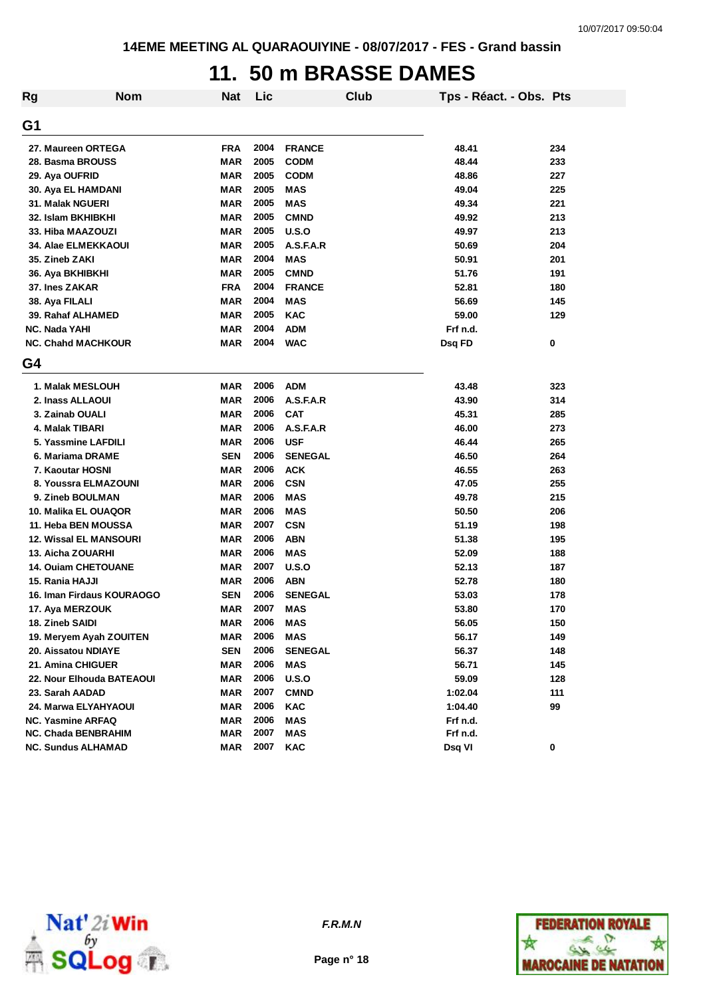#### **11. 50 m BRASSE DAMES**

| Rg                       | <b>Nom</b>                    | <b>Nat</b> | Lic  |                | Club | Tps - Réact. - Obs. Pts |     |
|--------------------------|-------------------------------|------------|------|----------------|------|-------------------------|-----|
| G1                       |                               |            |      |                |      |                         |     |
|                          | 27. Maureen ORTEGA            | <b>FRA</b> | 2004 | <b>FRANCE</b>  |      | 48.41                   | 234 |
| 28. Basma BROUSS         |                               | <b>MAR</b> | 2005 | <b>CODM</b>    |      | 48.44                   | 233 |
| 29. Aya OUFRID           |                               | <b>MAR</b> | 2005 | <b>CODM</b>    |      | 48.86                   | 227 |
| 30. Aya EL HAMDANI       |                               | <b>MAR</b> | 2005 | <b>MAS</b>     |      | 49.04                   | 225 |
| 31. Malak NGUERI         |                               | <b>MAR</b> | 2005 | <b>MAS</b>     |      | 49.34                   | 221 |
| 32. Islam BKHIBKHI       |                               | <b>MAR</b> | 2005 | <b>CMND</b>    |      | 49.92                   | 213 |
| 33. Hiba MAAZOUZI        |                               | <b>MAR</b> | 2005 | U.S.O          |      | 49.97                   | 213 |
|                          | 34. Alae ELMEKKAOUI           | <b>MAR</b> | 2005 | A.S.F.A.R      |      | 50.69                   | 204 |
| 35. Zineb ZAKI           |                               | <b>MAR</b> | 2004 | <b>MAS</b>     |      | 50.91                   | 201 |
| 36. Aya BKHIBKHI         |                               | <b>MAR</b> | 2005 | <b>CMND</b>    |      | 51.76                   | 191 |
| <b>37. Ines ZAKAR</b>    |                               | <b>FRA</b> | 2004 | <b>FRANCE</b>  |      | 52.81                   | 180 |
| 38. Aya FILALI           |                               | <b>MAR</b> | 2004 | <b>MAS</b>     |      | 56.69                   | 145 |
| 39. Rahaf ALHAMED        |                               | <b>MAR</b> | 2005 | <b>KAC</b>     |      | 59.00                   | 129 |
| <b>NC. Nada YAHI</b>     |                               | <b>MAR</b> | 2004 | <b>ADM</b>     |      | Frf n.d.                |     |
|                          | <b>NC. Chahd MACHKOUR</b>     | <b>MAR</b> | 2004 | <b>WAC</b>     |      | Dsq FD                  | 0   |
| G4                       |                               |            |      |                |      |                         |     |
|                          | 1. Malak MESLOUH              | <b>MAR</b> | 2006 | <b>ADM</b>     |      | 43.48                   | 323 |
| 2. Inass ALLAOUI         |                               | <b>MAR</b> | 2006 | A.S.F.A.R      |      | 43.90                   | 314 |
| 3. Zainab OUALI          |                               | <b>MAR</b> | 2006 | <b>CAT</b>     |      | 45.31                   | 285 |
| 4. Malak TIBARI          |                               | MAR        | 2006 | A.S.F.A.R      |      | 46.00                   | 273 |
|                          | 5. Yassmine LAFDILI           | MAR        | 2006 | <b>USF</b>     |      | 46.44                   | 265 |
| 6. Mariama DRAME         |                               | <b>SEN</b> | 2006 | <b>SENEGAL</b> |      | 46.50                   | 264 |
| 7. Kaoutar HOSNI         |                               | <b>MAR</b> | 2006 | <b>ACK</b>     |      | 46.55                   | 263 |
|                          | 8. Youssra ELMAZOUNI          | <b>MAR</b> | 2006 | <b>CSN</b>     |      | 47.05                   | 255 |
| 9. Zineb BOULMAN         |                               | <b>MAR</b> | 2006 | <b>MAS</b>     |      | 49.78                   | 215 |
|                          | 10. Malika EL OUAQOR          | MAR        | 2006 | <b>MAS</b>     |      | 50.50                   | 206 |
|                          | 11. Heba BEN MOUSSA           | MAR        | 2007 | <b>CSN</b>     |      | 51.19                   | 198 |
|                          | <b>12. Wissal EL MANSOURI</b> | MAR        | 2006 | <b>ABN</b>     |      | 51.38                   | 195 |
| 13. Aicha ZOUARHI        |                               | <b>MAR</b> | 2006 | <b>MAS</b>     |      | 52.09                   | 188 |
|                          | <b>14. Ouiam CHETOUANE</b>    | <b>MAR</b> | 2007 | U.S.O          |      | 52.13                   | 187 |
| 15. Rania HAJJI          |                               | MAR        | 2006 | <b>ABN</b>     |      | 52.78                   | 180 |
|                          | 16. Iman Firdaus KOURAOGO     | <b>SEN</b> | 2006 | <b>SENEGAL</b> |      | 53.03                   | 178 |
| 17. Aya MERZOUK          |                               | MAR        | 2007 | <b>MAS</b>     |      | 53.80                   | 170 |
| 18. Zineb SAIDI          |                               | MAR        | 2006 | <b>MAS</b>     |      | 56.05                   | 150 |
|                          | 19. Meryem Ayah ZOUITEN       | <b>MAR</b> | 2006 | <b>MAS</b>     |      | 56.17                   | 149 |
| 20. Aissatou NDIAYE      |                               | <b>SEN</b> | 2006 | <b>SENEGAL</b> |      | 56.37                   | 148 |
| 21. Amina CHIGUER        |                               | MAR        | 2006 | <b>MAS</b>     |      | 56.71                   | 145 |
|                          | 22. Nour Elhouda BATEAOUI     | MAR        | 2006 | U.S.O          |      | 59.09                   | 128 |
| 23. Sarah AADAD          |                               | <b>MAR</b> | 2007 | <b>CMND</b>    |      | 1:02.04                 | 111 |
|                          | 24. Marwa ELYAHYAOUI          | <b>MAR</b> | 2006 | <b>KAC</b>     |      | 1:04.40                 | 99  |
| <b>NC. Yasmine ARFAQ</b> |                               | <b>MAR</b> | 2006 | <b>MAS</b>     |      | Frf n.d.                |     |
|                          | <b>NC. Chada BENBRAHIM</b>    | MAR        | 2007 | <b>MAS</b>     |      | Frf n.d.                |     |
| NC. Sundus ALHAMAD       |                               | MAR        | 2007 | KAC            |      | Dsq VI                  | 0   |



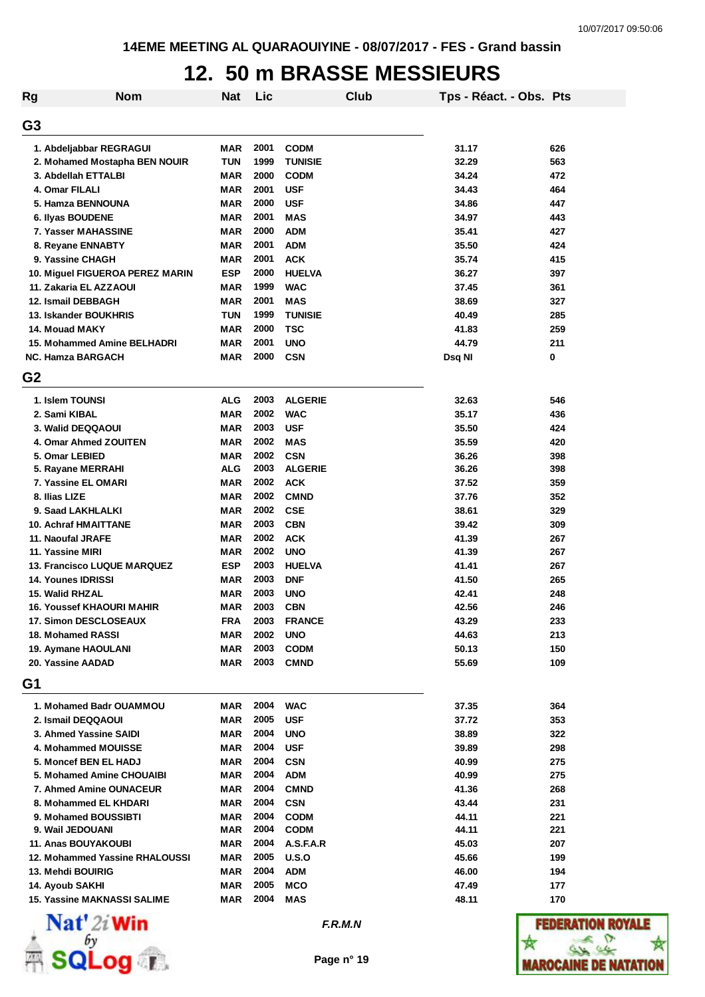## **12. 50 m BRASSE MESSIEURS**

| Rg             | <b>Nom</b>                                         | <b>Nat</b>        | Lic          |                            | Club | Tps - Réact. - Obs. Pts |            |
|----------------|----------------------------------------------------|-------------------|--------------|----------------------------|------|-------------------------|------------|
| G3             |                                                    |                   |              |                            |      |                         |            |
|                | 1. Abdeljabbar REGRAGUI                            | <b>MAR</b>        | 2001         | <b>CODM</b>                |      | 31.17                   | 626        |
|                | 2. Mohamed Mostapha BEN NOUIR                      | <b>TUN</b>        | 1999         | <b>TUNISIE</b>             |      | 32.29                   | 563        |
|                | 3. Abdellah ETTALBI                                | <b>MAR</b>        | 2000         | <b>CODM</b>                |      | 34.24                   | 472        |
|                | 4. Omar FILALI                                     | <b>MAR</b>        | 2001         | <b>USF</b>                 |      | 34.43                   | 464        |
|                | 5. Hamza BENNOUNA                                  | <b>MAR</b>        | 2000         | <b>USF</b>                 |      | 34.86                   | 447        |
|                | 6. Ilyas BOUDENE                                   | <b>MAR</b>        | 2001         | <b>MAS</b>                 |      | 34.97                   | 443        |
|                | 7. Yasser MAHASSINE                                | <b>MAR</b>        | 2000         | <b>ADM</b>                 |      | 35.41                   | 427        |
|                | 8. Reyane ENNABTY                                  | <b>MAR</b>        | 2001         | <b>ADM</b>                 |      | 35.50                   | 424        |
|                | 9. Yassine CHAGH                                   | <b>MAR</b>        | 2001         | <b>ACK</b>                 |      | 35.74                   | 415        |
|                | 10. Miguel FIGUEROA PEREZ MARIN                    | <b>ESP</b>        | 2000         | <b>HUELVA</b>              |      | 36.27                   | 397        |
|                | 11. Zakaria EL AZZAOUI                             | MAR               | 1999         | <b>WAC</b>                 |      | 37.45                   | 361        |
|                | 12. Ismail DEBBAGH                                 | <b>MAR</b>        | 2001         | <b>MAS</b>                 |      | 38.69                   | 327        |
|                | 13. Iskander BOUKHRIS                              | <b>TUN</b>        | 1999         | <b>TUNISIE</b>             |      | 40.49                   | 285        |
|                | 14. Mouad MAKY                                     | MAR               | 2000         | <b>TSC</b>                 |      | 41.83                   | 259        |
|                | 15. Mohammed Amine BELHADRI                        | <b>MAR</b>        | 2001         | <b>UNO</b>                 |      | 44.79                   | 211        |
|                | <b>NC. Hamza BARGACH</b>                           | <b>MAR</b>        | 2000         |                            |      |                         | 0          |
| G <sub>2</sub> |                                                    |                   |              | <b>CSN</b>                 |      | Dsq NI                  |            |
|                |                                                    |                   |              |                            |      |                         |            |
|                | 1. Islem TOUNSI                                    | <b>ALG</b>        | 2003         | <b>ALGERIE</b>             |      | 32.63                   | 546        |
|                | 2. Sami KIBAL                                      | <b>MAR</b>        | 2002         | <b>WAC</b>                 |      | 35.17                   | 436        |
|                | 3. Walid DEQQAOUI                                  | <b>MAR</b>        | 2003         | <b>USF</b>                 |      | 35.50                   | 424        |
|                | 4. Omar Ahmed ZOUITEN                              | MAR               | 2002         | <b>MAS</b>                 |      | 35.59                   | 420        |
|                | 5. Omar LEBIED                                     | <b>MAR</b>        | 2002         | <b>CSN</b>                 |      | 36.26                   | 398        |
|                | 5. Rayane MERRAHI                                  | <b>ALG</b>        | 2003         | <b>ALGERIE</b>             |      | 36.26                   | 398        |
|                | 7. Yassine EL OMARI                                | MAR               | 2002         | <b>ACK</b>                 |      | 37.52                   | 359        |
|                | 8. Ilias LIZE                                      | MAR               | 2002         | <b>CMND</b>                |      | 37.76                   | 352        |
|                | 9. Saad LAKHLALKI                                  | <b>MAR</b>        | 2002         | <b>CSE</b>                 |      | 38.61                   | 329        |
|                | 10. Achraf HMAITTANE                               | <b>MAR</b>        | 2003<br>2002 | <b>CBN</b>                 |      | 39.42                   | 309        |
|                | 11. Naoufal JRAFE<br>11. Yassine MIRI              | <b>MAR</b><br>MAR | 2002         | <b>ACK</b><br><b>UNO</b>   |      | 41.39<br>41.39          | 267<br>267 |
|                | <b>13. Francisco LUQUE MARQUEZ</b>                 | <b>ESP</b>        | 2003         | <b>HUELVA</b>              |      | 41.41                   | 267        |
|                | 14. Younes IDRISSI                                 | MAR               | 2003         | <b>DNF</b>                 |      | 41.50                   | 265        |
|                | 15. Walid RHZAL                                    | MAR               | 2003         | <b>UNO</b>                 |      | 42.41                   | 248        |
|                | <b>16. Youssef KHAOURI MAHIR</b>                   | MAR               | 2003         | <b>CBN</b>                 |      | 42.56                   | 246        |
|                |                                                    |                   |              |                            |      |                         |            |
|                | <b>17. Simon DESCLOSEAUX</b>                       | <b>FRA</b>        | 2003<br>2002 | <b>FRANCE</b>              |      | 43.29                   | 233        |
|                | 18. Mohamed RASSI                                  | MAR               | 2003         | <b>UNO</b>                 |      | 44.63                   | 213        |
|                | 19. Aymane HAOULANI<br>20. Yassine AADAD           | <b>MAR</b><br>MAR | 2003         | <b>CODM</b><br><b>CMND</b> |      | 50.13<br>55.69          | 150<br>109 |
| G1             |                                                    |                   |              |                            |      |                         |            |
|                |                                                    |                   |              |                            |      |                         |            |
|                | 1. Mohamed Badr OUAMMOU                            | MAR               | 2004         | <b>WAC</b>                 |      | 37.35                   | 364        |
|                | 2. Ismail DEQQAOUI                                 | MAR               | 2005         | <b>USF</b>                 |      | 37.72                   | 353        |
|                | 3. Ahmed Yassine SAIDI<br>4. Mohammed MOUISSE      | <b>MAR</b>        | 2004<br>2004 | <b>UNO</b>                 |      | 38.89                   | 322        |
|                |                                                    | <b>MAR</b>        | 2004         | <b>USF</b>                 |      | 39.89                   | 298        |
|                | 5. Moncef BEN EL HADJ<br>5. Mohamed Amine CHOUAIBI | <b>MAR</b>        | 2004         | <b>CSN</b>                 |      | 40.99                   | 275<br>275 |
|                | 7. Ahmed Amine OUNACEUR                            | MAR               | 2004         | <b>ADM</b>                 |      | 40.99<br>41.36          | 268        |
|                | 8. Mohammed EL KHDARI                              | MAR<br>MAR        | 2004         | <b>CMND</b><br><b>CSN</b>  |      | 43.44                   | 231        |
|                |                                                    |                   | 2004         |                            |      |                         |            |
|                | 9. Mohamed BOUSSIBTI<br>9. Wail JEDOUANI           | MAR<br>MAR        | 2004         | <b>CODM</b><br><b>CODM</b> |      | 44.11<br>44.11          | 221<br>221 |
|                | <b>11. Anas BOUYAKOUBI</b>                         | MAR               | 2004         | A.S.F.A.R                  |      | 45.03                   | 207        |
|                | 12. Mohammed Yassine RHALOUSSI                     | MAR               | 2005         | U.S.O                      |      | 45.66                   | 199        |
|                | 13. Mehdi BOUIRIG                                  | MAR               | 2004         | ADM                        |      | 46.00                   | 194        |
|                | 14. Ayoub SAKHI                                    | MAR               | 2005         | MCO                        |      | 47.49                   | 177        |
|                | <b>15. Yassine MAKNASSI SALIME</b>                 | MAR               | 2004         | MAS                        |      | 48.11                   | 170        |
|                |                                                    |                   |              |                            |      |                         |            |



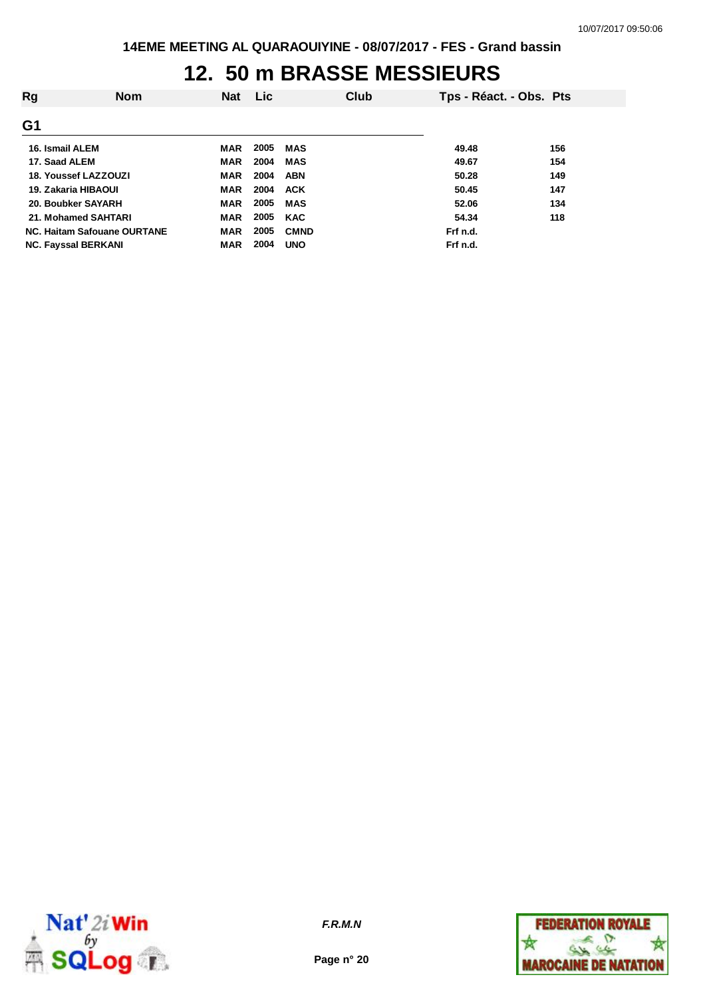## **12. 50 m BRASSE MESSIEURS**

| Rg                          | <b>Nom</b> | <b>Nat</b> | <b>Lic</b> |             | Club | Tps - Réact. - Obs. Pts |     |
|-----------------------------|------------|------------|------------|-------------|------|-------------------------|-----|
| G1                          |            |            |            |             |      |                         |     |
| 16. Ismail ALEM             |            | <b>MAR</b> | 2005       | MAS         |      | 49.48                   | 156 |
| 17. Saad ALEM               |            | MAR        | 2004       | <b>MAS</b>  |      | 49.67                   | 154 |
| <b>18. Youssef LAZZOUZI</b> |            | <b>MAR</b> | 2004       | <b>ABN</b>  |      | 50.28                   | 149 |
| 19. Zakaria HIBAOUI         |            | <b>MAR</b> | 2004       | <b>ACK</b>  |      | 50.45                   | 147 |
| 20. Boubker SAYARH          |            | <b>MAR</b> | 2005       | <b>MAS</b>  |      | 52.06                   | 134 |
| 21. Mohamed SAHTARI         |            | <b>MAR</b> | 2005       | <b>KAC</b>  |      | 54.34                   | 118 |
| NC. Haitam Safouane OURTANE |            | <b>MAR</b> | 2005       | <b>CMND</b> |      | Frf n.d.                |     |
| <b>NC. Fayssal BERKANI</b>  |            | <b>MAR</b> | 2004       | <b>UNO</b>  |      | Frf n.d.                |     |



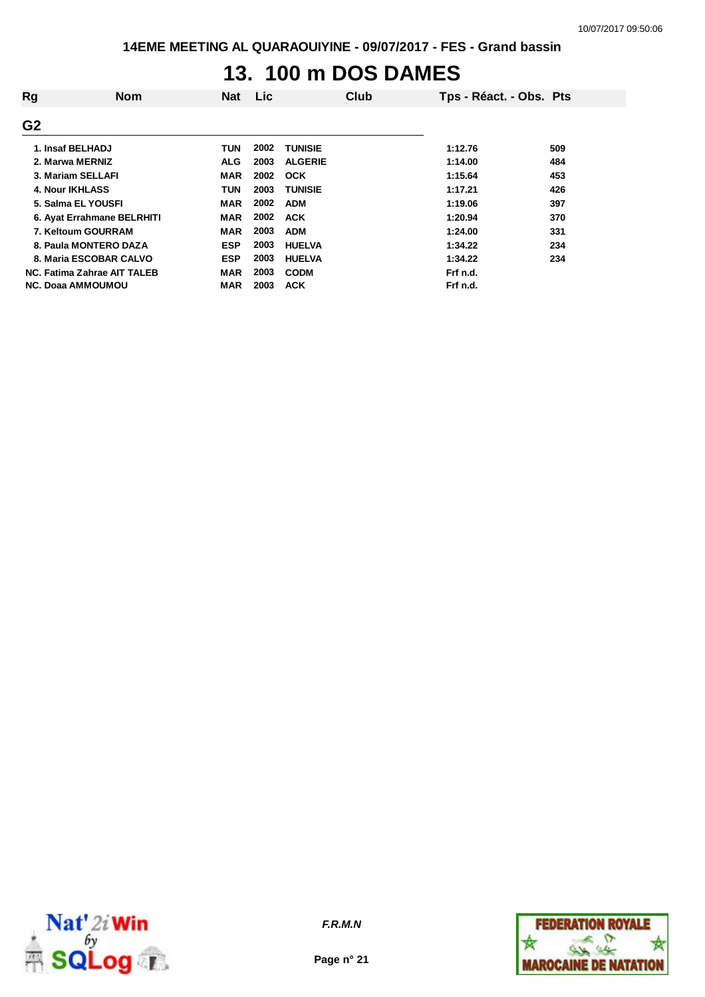# **13. 100 m DOS DAMES**

| Rg                          | <b>Nom</b> | Nat        | <b>Lic</b> |                | Club | Tps - Réact. - Obs. Pts |     |
|-----------------------------|------------|------------|------------|----------------|------|-------------------------|-----|
| G <sub>2</sub>              |            |            |            |                |      |                         |     |
| 1. Insaf BELHADJ            |            | TUN        | 2002       | <b>TUNISIE</b> |      | 1:12.76                 | 509 |
| 2. Marwa MERNIZ             |            | <b>ALG</b> | 2003       | <b>ALGERIE</b> |      | 1:14.00                 | 484 |
| 3. Mariam SELLAFI           |            | <b>MAR</b> | 2002       | <b>OCK</b>     |      | 1:15.64                 | 453 |
| 4. Nour IKHLASS             |            | TUN        | 2003       | <b>TUNISIE</b> |      | 1:17.21                 | 426 |
| 5. Salma EL YOUSFI          |            | MAR        | 2002       | <b>ADM</b>     |      | 1:19.06                 | 397 |
| 6. Ayat Errahmane BELRHITI  |            | MAR        | 2002       | <b>ACK</b>     |      | 1:20.94                 | 370 |
| 7. Keltoum GOURRAM          |            | <b>MAR</b> | 2003       | <b>ADM</b>     |      | 1:24.00                 | 331 |
| 8. Paula MONTERO DAZA       |            | <b>ESP</b> | 2003       | <b>HUELVA</b>  |      | 1:34.22                 | 234 |
| 8. Maria ESCOBAR CALVO      |            | <b>ESP</b> | 2003       | <b>HUELVA</b>  |      | 1:34.22                 | 234 |
| NC. Fatima Zahrae AIT TALEB |            | MAR        | 2003       | <b>CODM</b>    |      | Frf n.d.                |     |
| <b>NC. Doaa AMMOUMOU</b>    |            | MAR        | 2003       | <b>ACK</b>     |      | Frf n.d.                |     |